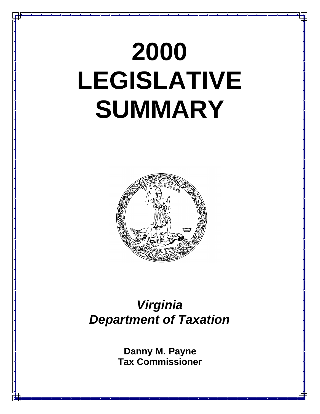# **2000 LEGISLATIVE SUMMARY**



## *Virginia Department of Taxation*

**Danny M. Payne Tax Commissioner**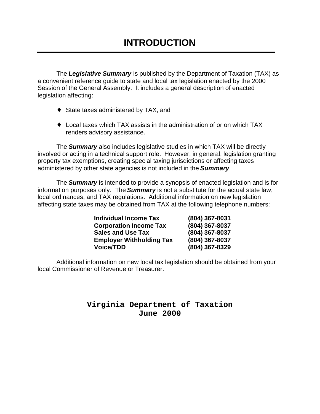The *Legislative Summary* is published by the Department of Taxation (TAX) as a convenient reference guide to state and local tax legislation enacted by the 2000 Session of the General Assembly. It includes a general description of enacted legislation affecting:

- ◆ State taxes administered by TAX, and
- ♦ Local taxes which TAX assists in the administration of or on which TAX renders advisory assistance.

The *Summary* also includes legislative studies in which TAX will be directly involved or acting in a technical support role. However, in general, legislation granting property tax exemptions, creating special taxing jurisdictions or affecting taxes administered by other state agencies is not included in the *Summary*.

The *Summary* is intended to provide a synopsis of enacted legislation and is for information purposes only. The *Summary* is not a substitute for the actual state law, local ordinances, and TAX regulations. Additional information on new legislation affecting state taxes may be obtained from TAX at the following telephone numbers:

| <b>Individual Income Tax</b>    | (804) 367-8031 |
|---------------------------------|----------------|
| <b>Corporation Income Tax</b>   | (804) 367-8037 |
| <b>Sales and Use Tax</b>        | (804) 367-8037 |
| <b>Employer Withholding Tax</b> | (804) 367-8037 |
| <b>Voice/TDD</b>                | (804) 367-8329 |

Additional information on new local tax legislation should be obtained from your local Commissioner of Revenue or Treasurer.

## **Virginia Department of Taxation June 2000**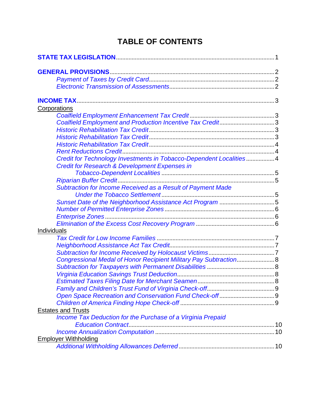## **TABLE OF CONTENTS**

| Corporations                                                       |  |
|--------------------------------------------------------------------|--|
|                                                                    |  |
| Coalfield Employment and Production Incentive Tax Credit3          |  |
|                                                                    |  |
|                                                                    |  |
|                                                                    |  |
|                                                                    |  |
| Credit for Technology Investments in Tobacco-Dependent Localities4 |  |
| <b>Credit for Research &amp; Development Expenses in</b>           |  |
|                                                                    |  |
|                                                                    |  |
| Subtraction for Income Received as a Result of Payment Made        |  |
|                                                                    |  |
| Sunset Date of the Neighborhood Assistance Act Program 5           |  |
|                                                                    |  |
|                                                                    |  |
|                                                                    |  |
| Individuals                                                        |  |
|                                                                    |  |
|                                                                    |  |
|                                                                    |  |
| Congressional Medal of Honor Recipient Military Pay Subtraction 8  |  |
|                                                                    |  |
|                                                                    |  |
|                                                                    |  |
|                                                                    |  |
|                                                                    |  |
|                                                                    |  |
| <b>Estates and Trusts</b>                                          |  |
| Income Tax Deduction for the Purchase of a Virginia Prepaid        |  |
|                                                                    |  |
|                                                                    |  |
| <b>Employer Withholding</b>                                        |  |
|                                                                    |  |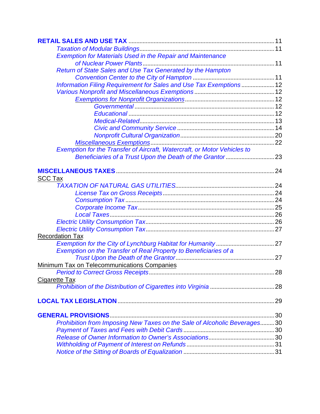| <b>Exemption for Materials Used in the Repair and Maintenance</b>        |  |
|--------------------------------------------------------------------------|--|
|                                                                          |  |
| Return of State Sales and Use Tax Generated by the Hampton               |  |
|                                                                          |  |
| Information Filing Requirement for Sales and Use Tax Exemptions 12       |  |
|                                                                          |  |
|                                                                          |  |
|                                                                          |  |
|                                                                          |  |
|                                                                          |  |
|                                                                          |  |
|                                                                          |  |
|                                                                          |  |
| Exemption for the Transfer of Aircraft, Watercraft, or Motor Vehicles to |  |
|                                                                          |  |
|                                                                          |  |
|                                                                          |  |
| <b>SCC Tax</b>                                                           |  |
|                                                                          |  |
|                                                                          |  |
|                                                                          |  |
|                                                                          |  |
|                                                                          |  |
|                                                                          |  |
|                                                                          |  |
| <b>Recordation Tax</b>                                                   |  |
|                                                                          |  |
| Exemption on the Transfer of Real Property to Beneficiaries of a         |  |
|                                                                          |  |
| <b>Minimum Tax on Telecommunications Companies</b>                       |  |
|                                                                          |  |
| Cigarette Tax                                                            |  |
|                                                                          |  |
|                                                                          |  |
|                                                                          |  |
|                                                                          |  |
|                                                                          |  |
| Prohibition from Imposing New Taxes on the Sale of Alcoholic Beverages30 |  |
|                                                                          |  |
|                                                                          |  |
|                                                                          |  |
|                                                                          |  |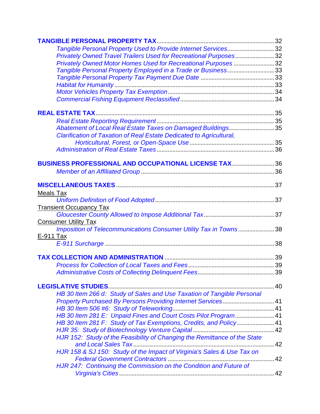| Tangible Personal Property Used to Provide Internet Services32            |  |
|---------------------------------------------------------------------------|--|
| Privately Owned Travel Trailers Used for Recreational Purposes32          |  |
| Privately Owned Motor Homes Used for Recreational Purposes32              |  |
| Tangible Personal Property Employed in a Trade or Business33              |  |
|                                                                           |  |
|                                                                           |  |
|                                                                           |  |
|                                                                           |  |
|                                                                           |  |
|                                                                           |  |
| Abatement of Local Real Estate Taxes on Damaged Buildings35               |  |
| Clarification of Taxation of Real Estate Dedicated to Agricultural,       |  |
|                                                                           |  |
|                                                                           |  |
| BUSINESS PROFESSIONAL AND OCCUPATIONAL LICENSE TAX 36                     |  |
|                                                                           |  |
|                                                                           |  |
| <b>Meals Tax</b>                                                          |  |
|                                                                           |  |
| <b>Transient Occupancy Tax</b>                                            |  |
|                                                                           |  |
| <b>Consumer Utility Tax</b>                                               |  |
| Imposition of Telecommunications Consumer Utility Tax in Towns38          |  |
| E-911 Tax                                                                 |  |
|                                                                           |  |
|                                                                           |  |
|                                                                           |  |
|                                                                           |  |
|                                                                           |  |
| HB 30 Item 266 d: Study of Sales and Use Taxation of Tangible Personal    |  |
| Property Purchased By Persons Providing Internet Services 41              |  |
|                                                                           |  |
| HB 30 Item 281 E: Unpaid Fines and Court Costs Pilot Program 41           |  |
| HB 30 Item 281 F: Study of Tax Exemptions, Credits, and Policy 41         |  |
|                                                                           |  |
| HJR 152: Study of the Feasibility of Changing the Remittance of the State |  |
|                                                                           |  |
| HJR 158 & SJ 150: Study of the Impact of Virginia's Sales & Use Tax on    |  |
|                                                                           |  |
| HJR 247: Continuing the Commission on the Condition and Future of         |  |
|                                                                           |  |
|                                                                           |  |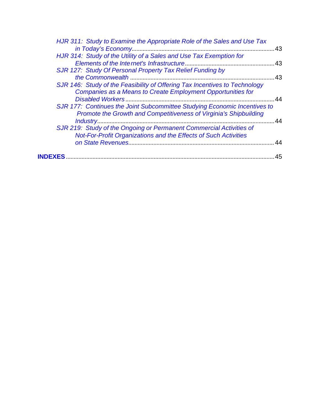|                | HJR 311: Study to Examine the Appropriate Role of the Sales and Use Tax                                                                        |     |
|----------------|------------------------------------------------------------------------------------------------------------------------------------------------|-----|
|                |                                                                                                                                                | 43  |
|                | HJR 314: Study of the Utility of a Sales and Use Tax Exemption for                                                                             |     |
|                |                                                                                                                                                | .43 |
|                | SJR 127: Study Of Personal Property Tax Relief Funding by                                                                                      |     |
|                | the Commonwealth.                                                                                                                              | 43  |
|                | SJR 146: Study of the Feasibility of Offering Tax Incentives to Technology<br>Companies as a Means to Create Employment Opportunities for      |     |
|                |                                                                                                                                                | 44  |
|                | SJR 177: Continues the Joint Subcommittee Studying Economic Incentives to<br>Promote the Growth and Competitiveness of Virginia's Shipbuilding |     |
|                | Industry                                                                                                                                       | 44  |
|                | SJR 219: Study of the Ongoing or Permanent Commercial Activities of                                                                            |     |
|                | <b>Not-For-Profit Organizations and the Effects of Such Activities</b>                                                                         |     |
|                |                                                                                                                                                | 44  |
| <b>INDEXES</b> |                                                                                                                                                | 45  |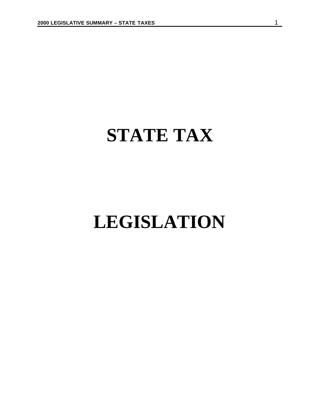## <span id="page-6-0"></span>**STATE TAX**

## **LEGISLATION**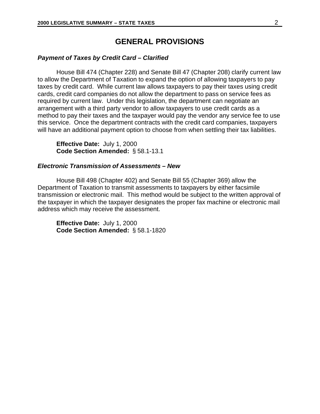## **GENERAL PROVISIONS**

## <span id="page-7-0"></span>*Payment of Taxes by Credit Card – Clarified*

House Bill 474 (Chapter 228) and Senate Bill 47 (Chapter 208) clarify current law to allow the Department of Taxation to expand the option of allowing taxpayers to pay taxes by credit card. While current law allows taxpayers to pay their taxes using credit cards, credit card companies do not allow the department to pass on service fees as required by current law. Under this legislation, the department can negotiate an arrangement with a third party vendor to allow taxpayers to use credit cards as a method to pay their taxes and the taxpayer would pay the vendor any service fee to use this service. Once the department contracts with the credit card companies, taxpayers will have an additional payment option to choose from when settling their tax liabilities.

**Effective Date:** July 1, 2000 **Code Section Amended:** § 58.1-13.1

#### *Electronic Transmission of Assessments – New*

House Bill 498 (Chapter 402) and Senate Bill 55 (Chapter 369) allow the Department of Taxation to transmit assessments to taxpayers by either facsimile transmission or electronic mail. This method would be subject to the written approval of the taxpayer in which the taxpayer designates the proper fax machine or electronic mail address which may receive the assessment.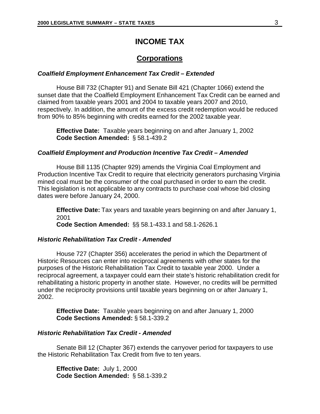## **INCOME TAX**

## **Corporations**

#### <span id="page-8-0"></span>*Coalfield Employment Enhancement Tax Credit – Extended*

House Bill 732 (Chapter 91) and Senate Bill 421 (Chapter 1066) extend the sunset date that the Coalfield Employment Enhancement Tax Credit can be earned and claimed from taxable years 2001 and 2004 to taxable years 2007 and 2010, respectively. In addition, the amount of the excess credit redemption would be reduced from 90% to 85% beginning with credits earned for the 2002 taxable year.

**Effective Date:** Taxable years beginning on and after January 1, 2002 **Code Section Amended:** § 58.1-439.2

## *Coalfield Employment and Production Incentive Tax Credit – Amended*

House Bill 1135 (Chapter 929) amends the Virginia Coal Employment and Production Incentive Tax Credit to require that electricity generators purchasing Virginia mined coal must be the consumer of the coal purchased in order to earn the credit. This legislation is not applicable to any contracts to purchase coal whose bid closing dates were before January 24, 2000.

**Effective Date:** Tax years and taxable years beginning on and after January 1, 2001 **Code Section Amended:** §§ 58.1-433.1 and 58.1-2626.1

## *Historic Rehabilitation Tax Credit - Amended*

House 727 (Chapter 356) accelerates the period in which the Department of Historic Resources can enter into reciprocal agreements with other states for the purposes of the Historic Rehabilitation Tax Credit to taxable year 2000. Under a reciprocal agreement, a taxpayer could earn their state's historic rehabilitation credit for rehabilitating a historic property in another state. However, no credits will be permitted under the reciprocity provisions until taxable years beginning on or after January 1, 2002.

**Effective Date:** Taxable years beginning on and after January 1, 2000 **Code Sections Amended:** § 58.1-339.2

#### *Historic Rehabilitation Tax Credit - Amended*

Senate Bill 12 (Chapter 367) extends the carryover period for taxpayers to use the Historic Rehabilitation Tax Credit from five to ten years.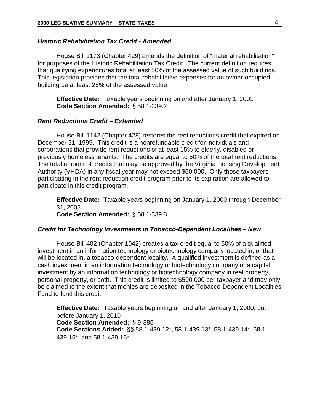## <span id="page-9-0"></span>*Historic Rehabilitation Tax Credit - Amended*

House Bill 1173 (Chapter 429) amends the definition of "material rehabilitation" for purposes of the Historic Rehabilitation Tax Credit. The current definition requires that qualifying expenditures total at least 50% of the assessed value of such buildings. This legislation provides that the total rehabilitative expenses for an owner-occupied building be at least 25% of the assessed value.

**Effective Date:** Taxable years beginning on and after January 1, 2001 **Code Section Amended:** § 58.1-339.2

## *Rent Reductions Credit – Extended*

House Bill 1142 (Chapter 428) restores the rent reductions credit that expired on December 31, 1999. This credit is a nonrefundable credit for individuals and corporations that provide rent reductions of at least 15% to elderly, disabled or previously homeless tenants. The credits are equal to 50% of the total rent reductions. The total amount of credits that may be approved by the Virginia Housing Development Authority (VHDA) in any fiscal year may not exceed \$50,000. Only those taxpayers participating in the rent reduction credit program prior to its expiration are allowed to participate in this credit program.

**Effective Date:** Taxable years beginning on January 1, 2000 through December 31, 2005 **Code Section Amended:** § 58.1-339.8

#### *Credit for Technology Investments in Tobacco-Dependent Localities – New*

House Bill 402 (Chapter 1042) creates a tax credit equal to 50% of a qualified investment in an information technology or biotechnology company located in, or that will be located in, a tobacco-dependent locality. A qualified investment is defined as a cash investment in an information technology or biotechnology company or a capital investment by an information technology or biotechnology company in real property, personal property, or both. This credit is limited to \$500,000 per taxpayer and may only be claimed to the extent that monies are deposited in the Tobacco-Dependent Localities Fund to fund this credit.

**Effective Date:** Taxable years beginning on and after January 1, 2000, but before January 1, 2010 **Code Section Amended:** § 9-385 **Code Sections Added:** §§ 58.1-439.12\*, 58.1-439.13\*, 58.1-439.14\*, 58.1- 439.15\*, and 58.1-439.16\*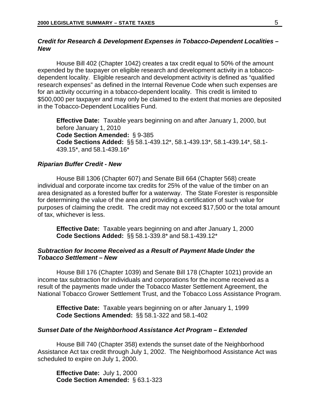## <span id="page-10-0"></span>*Credit for Research & Development Expenses in Tobacco-Dependent Localities – New*

House Bill 402 (Chapter 1042) creates a tax credit equal to 50% of the amount expended by the taxpayer on eligible research and development activity in a tobaccodependent locality. Eligible research and development activity is defined as "qualified research expenses" as defined in the Internal Revenue Code when such expenses are for an activity occurring in a tobacco-dependent locality. This credit is limited to \$500,000 per taxpayer and may only be claimed to the extent that monies are deposited in the Tobacco-Dependent Localities Fund.

**Effective Date:** Taxable years beginning on and after January 1, 2000, but before January 1, 2010 **Code Section Amended:** § 9-385 **Code Sections Added:** §§ 58.1-439.12\*, 58.1-439.13\*, 58.1-439.14\*, 58.1- 439.15\*, and 58.1-439.16\*

#### *Riparian Buffer Credit - New*

House Bill 1306 (Chapter 607) and Senate Bill 664 (Chapter 568) create individual and corporate income tax credits for 25% of the value of the timber on an area designated as a forested buffer for a waterway. The State Forester is responsible for determining the value of the area and providing a certification of such value for purposes of claiming the credit. The credit may not exceed \$17,500 or the total amount of tax, whichever is less.

**Effective Date:** Taxable years beginning on and after January 1, 2000 **Code Sections Added:** §§ 58.1-339.8\* and 58.1-439.12\*

## *Subtraction for Income Received as a Result of Payment Made Under the Tobacco Settlement – New*

House Bill 176 (Chapter 1039) and Senate Bill 178 (Chapter 1021) provide an income tax subtraction for individuals and corporations for the income received as a result of the payments made under the Tobacco Master Settlement Agreement, the National Tobacco Grower Settlement Trust, and the Tobacco Loss Assistance Program.

**Effective Date:** Taxable years beginning on or after January 1, 1999 **Code Sections Amended:** §§ 58.1-322 and 58.1-402

#### *Sunset Date of the Neighborhood Assistance Act Program – Extended*

House Bill 740 (Chapter 358) extends the sunset date of the Neighborhood Assistance Act tax credit through July 1, 2002. The Neighborhood Assistance Act was scheduled to expire on July 1, 2000.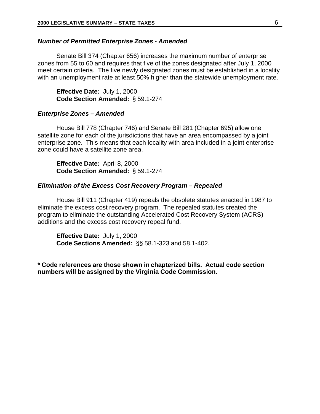#### <span id="page-11-0"></span>*Number of Permitted Enterprise Zones - Amended*

Senate Bill 374 (Chapter 656) increases the maximum number of enterprise zones from 55 to 60 and requires that five of the zones designated after July 1, 2000 meet certain criteria. The five newly designated zones must be established in a locality with an unemployment rate at least 50% higher than the statewide unemployment rate.

**Effective Date:** July 1, 2000 **Code Section Amended:** § 59.1-274

#### *Enterprise Zones – Amended*

House Bill 778 (Chapter 746) and Senate Bill 281 (Chapter 695) allow one satellite zone for each of the jurisdictions that have an area encompassed by a joint enterprise zone. This means that each locality with area included in a joint enterprise zone could have a satellite zone area.

**Effective Date:** April 8, 2000 **Code Section Amended:** § 59.1-274

#### *Elimination of the Excess Cost Recovery Program – Repealed*

House Bill 911 (Chapter 419) repeals the obsolete statutes enacted in 1987 to eliminate the excess cost recovery program. The repealed statutes created the program to eliminate the outstanding Accelerated Cost Recovery System (ACRS) additions and the excess cost recovery repeal fund.

**Effective Date:** July 1, 2000 **Code Sections Amended:** §§ 58.1-323 and 58.1-402.

**\* Code references are those shown in chapterized bills. Actual code section numbers will be assigned by the Virginia Code Commission.**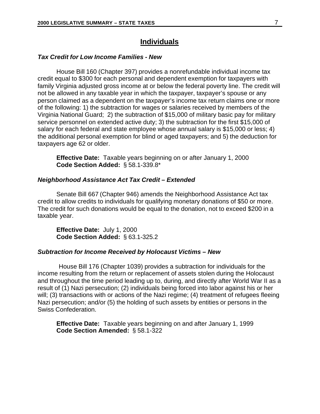## **Individuals**

#### <span id="page-12-0"></span>*Tax Credit for Low Income Families - New*

House Bill 160 (Chapter 397) provides a nonrefundable individual income tax credit equal to \$300 for each personal and dependent exemption for taxpayers with family Virginia adjusted gross income at or below the federal poverty line. The credit will not be allowed in any taxable year in which the taxpayer, taxpayer's spouse or any person claimed as a dependent on the taxpayer's income tax return claims one or more of the following: 1) the subtraction for wages or salaries received by members of the Virginia National Guard; 2) the subtraction of \$15,000 of military basic pay for military service personnel on extended active duty; 3) the subtraction for the first \$15,000 of salary for each federal and state employee whose annual salary is \$15,000 or less; 4) the additional personal exemption for blind or aged taxpayers; and 5) the deduction for taxpayers age 62 or older.

**Effective Date:** Taxable years beginning on or after January 1, 2000 **Code Section Added:** § 58.1-339.8\*

#### *Neighborhood Assistance Act Tax Credit – Extended*

Senate Bill 667 (Chapter 946) amends the Neighborhood Assistance Act tax credit to allow credits to individuals for qualifying monetary donations of \$50 or more. The credit for such donations would be equal to the donation, not to exceed \$200 in a taxable year.

**Effective Date:** July 1, 2000 **Code Section Added:** § 63.1-325.2

#### *Subtraction for Income Received by Holocaust Victims – New*

House Bill 176 (Chapter 1039) provides a subtraction for individuals for the income resulting from the return or replacement of assets stolen during the Holocaust and throughout the time period leading up to, during, and directly after World War II as a result of (1) Nazi persecution; (2) individuals being forced into labor against his or her will; (3) transactions with or actions of the Nazi regime; (4) treatment of refugees fleeing Nazi persecution; and/or (5) the holding of such assets by entities or persons in the Swiss Confederation.

**Effective Date:** Taxable years beginning on and after January 1, 1999 **Code Section Amended:** § 58.1-322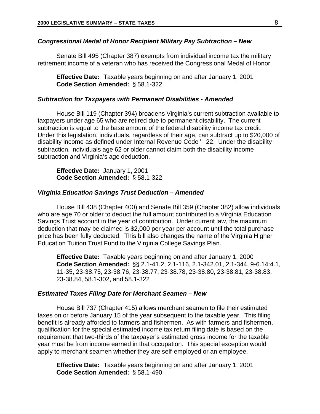## <span id="page-13-0"></span>*Congressional Medal of Honor Recipient Military Pay Subtraction – New*

Senate Bill 495 (Chapter 387) exempts from individual income tax the military retirement income of a veteran who has received the Congressional Medal of Honor.

**Effective Date:** Taxable years beginning on and after January 1, 2001 **Code Section Amended:** § 58.1-322

#### *Subtraction for Taxpayers with Permanent Disabilities - Amended*

House Bill 119 (Chapter 394) broadens Virginia's current subtraction available to taxpayers under age 65 who are retired due to permanent disability. The current subtraction is equal to the base amount of the federal disability income tax credit. Under this legislation, individuals, regardless of their age, can subtract up to \$20,000 of disability income as defined under Internal Revenue Code ' 22. Under the disability subtraction, individuals age 62 or older cannot claim both the disability income subtraction and Virginia's age deduction.

**Effective Date:** January 1, 2001 **Code Section Amended:** § 58.1-322

## *Virginia Education Savings Trust Deduction – Amended*

House Bill 438 (Chapter 400) and Senate Bill 359 (Chapter 382) allow individuals who are age 70 or older to deduct the full amount contributed to a Virginia Education Savings Trust account in the year of contribution. Under current law, the maximum deduction that may be claimed is \$2,000 per year per account until the total purchase price has been fully deducted. This bill also changes the name of the Virginia Higher Education Tuition Trust Fund to the Virginia College Savings Plan.

**Effective Date:** Taxable years beginning on and after January 1, 2000 **Code Section Amended:** §§ 2.1-41.2, 2.1-116, 2.1-342.01, 2.1-344, 9-6.14:4.1, 11-35, 23-38.75, 23-38.76, 23-38.77, 23-38.78, 23-38.80, 23-38.81, 23-38.83, 23-38.84, 58.1-302, and 58.1-322

#### *Estimated Taxes Filing Date for Merchant Seamen – New*

House Bill 737 (Chapter 415) allows merchant seamen to file their estimated taxes on or before January 15 of the year subsequent to the taxable year. This filing benefit is already afforded to farmers and fishermen. As with farmers and fishermen, qualification for the special estimated income tax return filing date is based on the requirement that two-thirds of the taxpayer's estimated gross income for the taxable year must be from income earned in that occupation. This special exception would apply to merchant seamen whether they are self-employed or an employee.

**Effective Date:** Taxable years beginning on and after January 1, 2001 **Code Section Amended:** § 58.1-490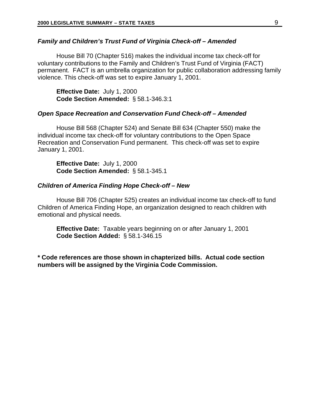#### <span id="page-14-0"></span>*Family and Children's Trust Fund of Virginia Check-off – Amended*

House Bill 70 (Chapter 516) makes the individual income tax check-off for voluntary contributions to the Family and Children's Trust Fund of Virginia (FACT) permanent. FACT is an umbrella organization for public collaboration addressing family violence. This check-off was set to expire January 1, 2001.

**Effective Date:** July 1, 2000 **Code Section Amended:** § 58.1-346.3:1

#### *Open Space Recreation and Conservation Fund Check-off – Amended*

House Bill 568 (Chapter 524) and Senate Bill 634 (Chapter 550) make the individual income tax check-off for voluntary contributions to the Open Space Recreation and Conservation Fund permanent. This check-off was set to expire January 1, 2001.

**Effective Date:** July 1, 2000 **Code Section Amended:** § 58.1-345.1

#### *Children of America Finding Hope Check-off – New*

House Bill 706 (Chapter 525) creates an individual income tax check-off to fund Children of America Finding Hope, an organization designed to reach children with emotional and physical needs.

**Effective Date:** Taxable years beginning on or after January 1, 2001 **Code Section Added:** § 58.1-346.15

**\* Code references are those shown in chapterized bills. Actual code section numbers will be assigned by the Virginia Code Commission.**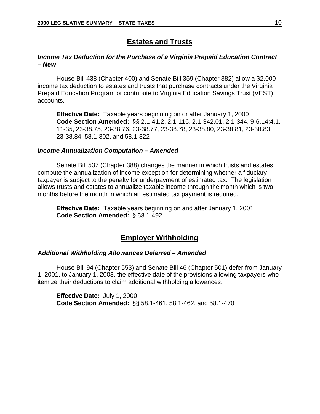## **Estates and Trusts**

## <span id="page-15-0"></span>*Income Tax Deduction for the Purchase of a Virginia Prepaid Education Contract – New*

House Bill 438 (Chapter 400) and Senate Bill 359 (Chapter 382) allow a \$2,000 income tax deduction to estates and trusts that purchase contracts under the Virginia Prepaid Education Program or contribute to Virginia Education Savings Trust (VEST) accounts.

**Effective Date:** Taxable years beginning on or after January 1, 2000 **Code Section Amended:** §§ 2.1-41.2, 2.1-116, 2.1-342.01, 2.1-344, 9-6.14:4.1, 11-35, 23-38.75, 23-38.76, 23-38.77, 23-38.78, 23-38.80, 23-38.81, 23-38.83, 23-38.84, 58.1-302, and 58.1-322

### *Income Annualization Computation – Amended*

Senate Bill 537 (Chapter 388) changes the manner in which trusts and estates compute the annualization of income exception for determining whether a fiduciary taxpayer is subject to the penalty for underpayment of estimated tax. The legislation allows trusts and estates to annualize taxable income through the month which is two months before the month in which an estimated tax payment is required.

**Effective Date:** Taxable years beginning on and after January 1, 2001 **Code Section Amended:** § 58.1-492

## **Employer Withholding**

## *Additional Withholding Allowances Deferred – Amended*

House Bill 94 (Chapter 553) and Senate Bill 46 (Chapter 501) defer from January 1, 2001, to January 1, 2003, the effective date of the provisions allowing taxpayers who itemize their deductions to claim additional withholding allowances.

**Effective Date:** July 1, 2000 **Code Section Amended:** §§ 58.1-461, 58.1-462, and 58.1-470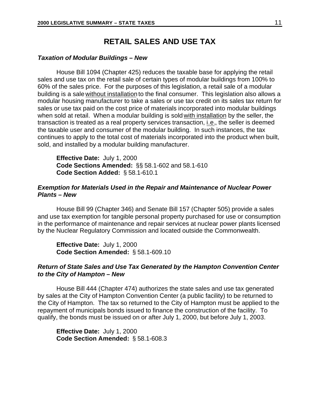## **RETAIL SALES AND USE TAX**

#### <span id="page-16-0"></span>*Taxation of Modular Buildings – New*

House Bill 1094 (Chapter 425) reduces the taxable base for applying the retail sales and use tax on the retail sale of certain types of modular buildings from 100% to 60% of the sales price. For the purposes of this legislation, a retail sale of a modular building is a sale without installation to the final consumer. This legislation also allows a modular housing manufacturer to take a sales or use tax credit on its sales tax return for sales or use tax paid on the cost price of materials incorporated into modular buildings when sold at retail. When a modular building is sold with installation by the seller, the transaction is treated as a real property services transaction, i.e., the seller is deemed the taxable user and consumer of the modular building. In such instances, the tax continues to apply to the total cost of materials incorporated into the product when built, sold, and installed by a modular building manufacturer.

**Effective Date:** July 1, 2000 **Code Sections Amended:** §§ 58.1-602 and 58.1-610 **Code Section Added:** § 58.1-610.1

## *Exemption for Materials Used in the Repair and Maintenance of Nuclear Power Plants – New*

House Bill 99 (Chapter 346) and Senate Bill 157 (Chapter 505) provide a sales and use tax exemption for tangible personal property purchased for use or consumption in the performance of maintenance and repair services at nuclear power plants licensed by the Nuclear Regulatory Commission and located outside the Commonwealth.

**Effective Date:** July 1, 2000 **Code Section Amended:** § 58.1-609.10

## *Return of State Sales and Use Tax Generated by the Hampton Convention Center to the City of Hampton – New*

House Bill 444 (Chapter 474) authorizes the state sales and use tax generated by sales at the City of Hampton Convention Center (a public facility) to be returned to the City of Hampton. The tax so returned to the City of Hampton must be applied to the repayment of municipals bonds issued to finance the construction of the facility. To qualify, the bonds must be issued on or after July 1, 2000, but before July 1, 2003.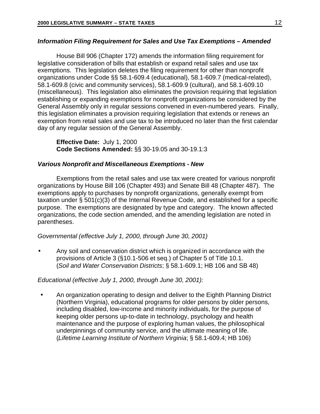## <span id="page-17-0"></span>*Information Filing Requirement for Sales and Use Tax Exemptions – Amended*

House Bill 906 (Chapter 172) amends the information filing requirement for legislative consideration of bills that establish or expand retail sales and use tax exemptions. This legislation deletes the filing requirement for other than nonprofit organizations under Code §§ 58.1-609.4 (educational), 58.1-609.7 (medical-related), 58.1-609.8 (civic and community services), 58.1-609.9 (cultural), and 58.1-609.10 (miscellaneous). This legislation also eliminates the provision requiring that legislation establishing or expanding exemptions for nonprofit organizations be considered by the General Assembly only in regular sessions convened in even-numbered years. Finally, this legislation eliminates a provision requiring legislation that extends or renews an exemption from retail sales and use tax to be introduced no later than the first calendar day of any regular session of the General Assembly.

**Effective Date:** July 1, 2000 **Code Sections Amended:** §§ 30-19.05 and 30-19.1:3

## *Various Nonprofit and Miscellaneous Exemptions - New*

Exemptions from the retail sales and use tax were created for various nonprofit organizations by House Bill 106 (Chapter 493) and Senate Bill 48 (Chapter 487). The exemptions apply to purchases by nonprofit organizations, generally exempt from taxation under § 501(c)(3) of the Internal Revenue Code, and established for a specific purpose. The exemptions are designated by type and category. The known affected organizations, the code section amended, and the amending legislation are noted in parentheses.

*Governmental (effective July 1, 2000, through June 30, 2001)*

• Any soil and conservation district which is organized in accordance with the provisions of Article 3 (§10.1-506 et seq.) of Chapter 5 of Title 10.1. (*Soil and Water Conservation Districts*; § 58.1-609.1; HB 106 and SB 48)

## *Educational (effective July 1, 2000, through June 30, 2001):*

• An organization operating to design and deliver to the Eighth Planning District (Northern Virginia), educational programs for older persons by older persons, including disabled, low-income and minority individuals, for the purpose of keeping older persons up-to-date in technology, psychology and health maintenance and the purpose of exploring human values, the philosophical underpinnings of community service, and the ultimate meaning of life. (*Lifetime Learning Institute of Northern Virginia*; § 58.1-609.4; HB 106)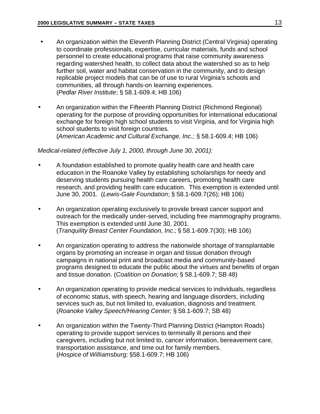- An organization within the Eleventh Planning District (Central Virginia) operating to coordinate professionals, expertise, curricular materials, funds and school personnel to create educational programs that raise community awareness regarding watershed health, to collect data about the watershed so as to help further soil, water and habitat conservation in the community, and to design replicable project models that can be of use to rural Virginia's schools and communities, all through hands-on learning experiences. (*Pedlar River Institute*; § 58.1-609.4; HB 106)
- An organization within the Fifteenth Planning District (Richmond Regional) operating for the purpose of providing opportunities for international educational exchange for foreign high school students to visit Virginia, and for Virginia high school students to visit foreign countries*.* (*American Academic and Cultural Exchange, Inc.;* § 58.1-609.4; HB 106)

## *Medical-related (effective July 1, 2000, through June 30, 2001):*

- A foundation established to promote quality health care and health care education in the Roanoke Valley by establishing scholarships for needy and deserving students pursuing health care careers, promoting health care research, and providing health care education. This exemption is extended until June 30, 2001. (*Lewis-Gale Foundation*; § 58.1-609.7(26); HB 106)
- An organization operating exclusively to provide breast cancer support and outreach for the medically under-served, including free mammography programs. This exemption is extended until June 30, 2001. (*Tranquility Breast Center Foundation, Inc.*; § 58.1-609.7(30); HB 106)
- An organization operating to address the nationwide shortage of transplantable organs by promoting an increase in organ and tissue donation through campaigns in national print and broadcast media and community-based programs designed to educate the public about the virtues and benefits of organ and tissue donation. (*Coalition on Donation;* § 58.1-609.7; SB 48)
- An organization operating to provide medical services to individuals, regardless of economic status, with speech, hearing and language disorders, including services such as, but not limited to, evaluation, diagnosis and treatment. (*Roanoke Valley Speech/Hearing Center;* § 58.1-609.7; SB 48)
- An organization within the Twenty-Third Planning District (Hampton Roads) operating to provide support services to terminally ill persons and their caregivers, including but not limited to, cancer information, bereavement care, transportation assistance, and time out for family members. (*Hospice of Williamsburg;* §58.1-609.7; HB 106)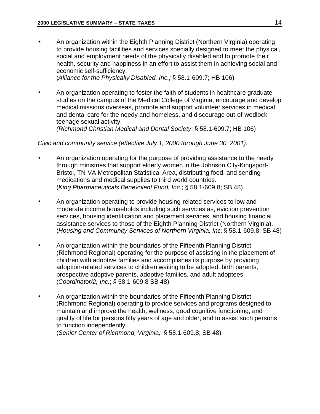<span id="page-19-0"></span>• An organization within the Eighth Planning District (Northern Virginia) operating to provide housing facilities and services specially designed to meet the physical, social and employment needs of the physically disabled and to promote their health, security and happiness in an effort to assist them in achieving social and economic self-sufficiency.

(*Alliance for the Physically Disabled, Inc.;* § 58.1-609.7; HB 106)

• An organization operating to foster the faith of students in healthcare graduate studies on the campus of the Medical College of Virginia, encourage and develop medical missions overseas, promote and support volunteer services in medical and dental care for the needy and homeless, and discourage out-of-wedlock teenage sexual activity*.*

*(Richmond Christian Medical and Dental Society*; § 58.1-609.7; HB 106)

*Civic and community service (effective July 1, 2000 through June 30, 2001):*

- An organization operating for the purpose of providing assistance to the needy through ministries that support elderly women in the Johnson City-Kingsport-Bristol, TN-VA Metropolitan Statistical Area, distributing food, and sending medications and medical supplies to third world countries*.* (*King Pharmaceuticals Benevolent Fund, Inc*.; § 58.1-609.8; SB 48)
- An organization operating to provide housing-related services to low and moderate income households including such services as, eviction prevention services, housing identification and placement services, and housing financial assistance services to those of the Eighth Planning District (Northern Virginia). (*Housing and Community Services of Northern Virginia, Inc;* § 58.1-609.8; SB 48)
- An organization within the boundaries of the Fifteenth Planning District (Richmond Regional) operating for the purpose of assisting in the placement of children with adoptive families and accomplishes its purpose by providing adoption-related services to children waiting to be adopted, birth parents, prospective adoptive parents, adoptive families, and adult adoptees. (*Coordinator/2, Inc.*; § 58.1-609.8 SB 48)
- An organization within the boundaries of the Fifteenth Planning District (Richmond Regional) operating to provide services and programs designed to maintain and improve the health, wellness, good cognitive functioning, and quality of life for persons fifty years of age and older, and to assist such persons to function independently.

(*Senior Center of Richmond, Virginia;* § 58.1-609.8; SB 48)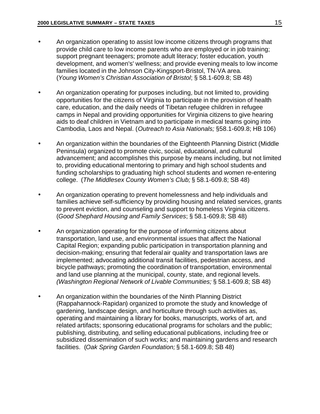- An organization operating to assist low income citizens through programs that provide child care to low income parents who are employed or in job training; support pregnant teenagers; promote adult literacy; foster education, youth development, and women's' wellness; and provide evening meals to low income families located in the Johnson City-Kingsport-Bristol, TN-VA area. (*Young Women's Christian Association of Bristol*; § 58.1-609.8; SB 48)
- An organization operating for purposes including, but not limited to, providing opportunities for the citizens of Virginia to participate in the provision of health care, education, and the daily needs of Tibetan refugee children in refugee camps in Nepal and providing opportunities for Virginia citizens to give hearing aids to deaf children in Vietnam and to participate in medical teams going into Cambodia, Laos and Nepal. (*Outreach to Asia Nationals;* §58.1-609.8; HB 106)
- An organization within the boundaries of the Eighteenth Planning District (Middle Peninsula) organized to promote civic, social, educational, and cultural advancement; and accomplishes this purpose by means including, but not limited to, providing educational mentoring to primary and high school students and funding scholarships to graduating high school students and women re-entering college. (*The Middlesex County Women's Club;* § 58.1-609.8; SB 48)
- An organization operating to prevent homelessness and help individuals and families achieve self-sufficiency by providing housing and related services, grants to prevent eviction, and counseling and support to homeless Virginia citizens. (*Good Shephard Housing and Family Services*; § 58.1-609.8; SB 48)
- An organization operating for the purpose of informing citizens about transportation, land use, and environmental issues that affect the National Capital Region; expanding public participation in transportation planning and decision-making; ensuring that federalair quality and transportation laws are implemented; advocating additional transit facilities, pedestrian access, and bicycle pathways; promoting the coordination of transportation, environmental and land use planning at the municipal, county, state, and regional levels. *(Washington Regional Network of Livable Communities;* § 58.1-609.8; SB 48)
- An organization within the boundaries of the Ninth Planning District (Rappahannock-Rapidan) organized to promote the study and knowledge of gardening, landscape design, and horticulture through such activities as, operating and maintaining a library for books, manuscripts, works of art, and related artifacts; sponsoring educational programs for scholars and the public; publishing, distributing, and selling educational publications, including free or subsidized dissemination of such works; and maintaining gardens and research facilities. (*Oak Spring Garden Foundation;* § 58.1-609.8; SB 48)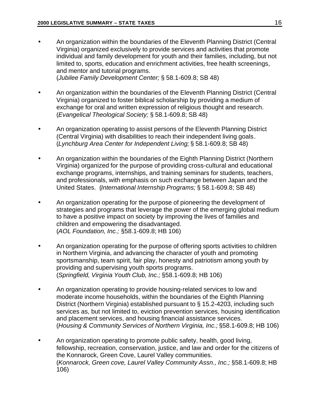- An organization within the boundaries of the Eleventh Planning District (Central Virginia) organized exclusively to provide services and activities that promote individual and family development for youth and their families, including, but not limited to, sports, education and enrichment activities, free health screenings, and mentor and tutorial programs. (*Jubilee Family Development Center;* § 58.1-609.8; SB 48)
- An organization within the boundaries of the Eleventh Planning District (Central Virginia) organized to foster biblical scholarship by providing a medium of exchange for oral and written expression of religious thought and research. (*Evangelical Theological Society;* § 58.1-609.8; SB 48)
- An organization operating to assist persons of the Eleventh Planning District (Central Virginia) with disabilities to reach their independent living goals *.* (*Lynchburg Area Center for Independent Living;* § 58.1-609.8; SB 48)
- An organization within the boundaries of the Eighth Planning District (Northern Virginia) organized for the purpose of providing cross-cultural and educational exchange programs, internships, and training seminars for students, teachers, and professionals, with emphasis on such exchange between Japan and the United States. (*International Internship Programs;* § 58.1-609.8; SB 48)
- An organization operating for the purpose of pioneering the development of strategies and programs that leverage the power of the emerging global medium to have a positive impact on society by improving the lives of families and children and empowering the disadvantaged. (*AOL Foundation, Inc.;* §58.1-609.8; HB 106)
- An organization operating for the purpose of offering sports activities to children in Northern Virginia, and advancing the character of youth and promoting sportsmanship, team spirit, fair play, honesty and patriotism among youth by providing and supervising youth sports programs*.* (*Springfield, Virginia Youth Club, Inc.;* §58.1-609.8; HB 106)
- An organization operating to provide housing-related services to low and moderate income households, within the boundaries of the Eighth Planning District (Northern Virginia) established pursuant to § 15.2-4203, including such services as, but not limited to, eviction prevention services, housing identification and placement services, and housing financial assistance services. (*Housing & Community Services of Northern Virginia, Inc.;* §58.1-609.8; HB 106)
- An organization operating to promote public safety, health, good living, fellowship, recreation, conservation, justice, and law and order for the citizens of the Konnarock, Green Cove, Laurel Valley communities. (*Konnarock, Green cove, Laurel Valley Community Assn., Inc.;* §58.1-609.8; HB 106)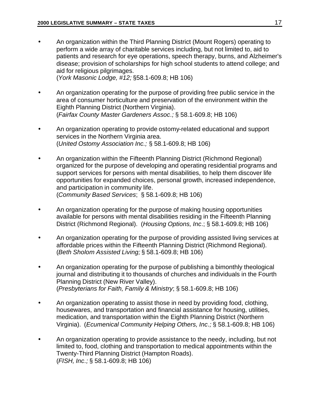- An organization within the Third Planning District (Mount Rogers) operating to perform a wide array of charitable services including, but not limited to, aid to patients and research for eye operations, speech therapy, burns, and Alzheimer's disease; provision of scholarships for high school students to attend college; and aid for religious pilgrimages. (*York Masonic Lodge, #12;* §58.1-609.8; HB 106)
- An organization operating for the purpose of providing free public service in the area of consumer horticulture and preservation of the environment within the Eighth Planning District (Northern Virginia). (*Fairfax County Master Gardeners Assoc*.*;* § 58.1-609.8; HB 106)
- An organization operating to provide ostomy-related educational and support services in the Northern Virginia area. (*United Ostomy Association Inc.;* § 58.1-609.8; HB 106)
- An organization within the Fifteenth Planning District (Richmond Regional) organized for the purpose of developing and operating residential programs and support services for persons with mental disabilities, to help them discover life opportunities for expanded choices, personal growth, increased independence, and participation in community life. (*Community Based Services*; § 58.1-609.8; HB 106)
- An organization operating for the purpose of making housing opportunities available for persons with mental disabilities residing in the Fifteenth Planning District (Richmond Regional). (*Housing Options, Inc*.; § 58.1-609.8; HB 106)
- An organization operating for the purpose of providing assisted living services at affordable prices within the Fifteenth Planning District (Richmond Regional). (*Beth Sholom Assisted Living;* § 58.1-609.8; HB 106)
- An organization operating for the purpose of publishing a bimonthly theological journal and distributing it to thousands of churches and individuals in the Fourth Planning District (New River Valley). (*Presbyterians for Faith, Family & Ministry*; § 58.1-609.8; HB 106)
- An organization operating to assist those in need by providing food, clothing, housewares, and transportation and financial assistance for housing, utilities, medication, and transportation within the Eighth Planning District (Northern Virginia). (*Ecumenical Community Helping Others, Inc*.*;* § 58.1-609.8; HB 106)
- An organization operating to provide assistance to the needy, including, but not limited to, food, clothing and transportation to medical appointments within the Twenty-Third Planning District (Hampton Roads). (*FISH, Inc*.*;* § 58.1-609.8; HB 106)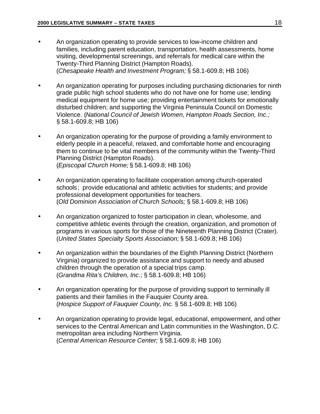- An organization operating to provide services to low-income children and families, including parent education, transportation, health assessments, home visiting, developmental screenings, and referrals for medical care within the Twenty-Third Planning District (Hampton Roads). (*Chesapeake Health and Investment Program;* § 58.1-609.8; HB 106)
- An organization operating for purposes including purchasing dictionaries for ninth grade public high school students who do not have one for home use; lending medical equipment for home use; providing entertainment tickets for emotionally disturbed children; and supporting the Virginia Peninsula Council on Domestic Violence. (*National Council of Jewish Women, Hampton Roads Section, Inc*.*;* § 58.1-609.8; HB 106)
- An organization operating for the purpose of providing a family environment to elderly people in a peaceful, relaxed, and comfortable home and encouraging them to continue to be vital members of the community within the Twenty-Third Planning District (Hampton Roads). (*Episcopal Church Home;* § 58.1-609.8; HB 106)
- An organization operating to facilitate cooperation among church-operated schools; provide educational and athletic activities for students; and provide professional development opportunities for teachers. (*Old Dominion Association of Church Schools;* § 58.1-609.8; HB 106)
- An organization organized to foster participation in clean, wholesome, and competitive athletic events through the creation, organization, and promotion of programs in various sports for those of the Nineteenth Planning District (Crater). (*United States Specialty Sports Association;* § 58.1-609.8; HB 106)
- An organization within the boundaries of the Eighth Planning District (Northern Virginia) organized to provide assistance and support to needy and abused children through the operation of a special trips camp. (*Grandma Rita's Children, Inc*.*;* § 58.1-609.8; HB 106)
- An organization operating for the purpose of providing support to terminally ill patients and their families in the Fauquier County area. (*Hospice Support of Fauquier County, Inc.* § 58.1-609.8; HB 106)
- An organization operating to provide legal, educational, empowerment, and other services to the Central American and Latin communities in the Washington, D.C. metropolitan area including Northern Virginia. (*Central American Resource Center;* § 58.1-609.8; HB 106)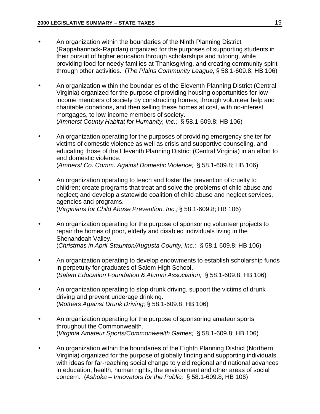- An organization within the boundaries of the Ninth Planning District (Rappahannock-Rapidan) organized for the purposes of supporting students in their pursuit of higher education through scholarships and tutoring, while providing food for needy families at Thanksgiving, and creating community spirit through other activities. (*The Plains Community League;* § 58.1-609.8; HB 106)
- An organization within the boundaries of the Eleventh Planning District (Central Virginia) organized for the purpose of providing housing opportunities for lowincome members of society by constructing homes, through volunteer help and charitable donations, and then selling these homes at cost, with no-interest mortgages, to low-income members of society. (*Amherst County Habitat for Humanity, Inc.;* § 58.1-609.8; HB 106)
- An organization operating for the purposes of providing emergency shelter for victims of domestic violence as well as crisis and supportive counseling, and educating those of the Eleventh Planning District (Central Virginia) in an effort to end domestic violence. (*Amherst Co. Comm. Against Domestic Violence;* § 58.1-609.8; HB 106)
- An organization operating to teach and foster the prevention of cruelty to children; create programs that treat and solve the problems of child abuse and neglect; and develop a statewide coalition of child abuse and neglect services, agencies and programs. (*Virginians for Child Abuse Prevention, Inc.;* § 58.1-609.8; HB 106)
- An organization operating for the purpose of sponsoring volunteer projects to repair the homes of poor, elderly and disabled individuals living in the Shenandoah Valley. (*Christmas in April-Staunton/Augusta County, Inc.;* § 58.1-609.8; HB 106)
- An organization operating to develop endowments to establish scholarship funds in perpetuity for graduates of Salem High School. (*Salem Education Foundation & Alumni Association;* § 58.1-609.8; HB 106)
- An organization operating to stop drunk driving, support the victims of drunk driving and prevent underage drinking. (*Mothers Against Drunk Driving;* § 58.1-609.8; HB 106)
- An organization operating for the purpose of sponsoring amateur sports throughout the Commonwealth. (*Virginia Amateur Sports/Commonwealth Games;* § 58.1-609.8; HB 106)
- An organization within the boundaries of the Eighth Planning District (Northern Virginia) organized for the purpose of globally finding and supporting individuals with ideas for far-reaching social change to yield regional and national advances in education, health, human rights, the environment and other areas of social concern. (*Ashoka – Innovators for the Public;* § 58.1-609.8; HB 106)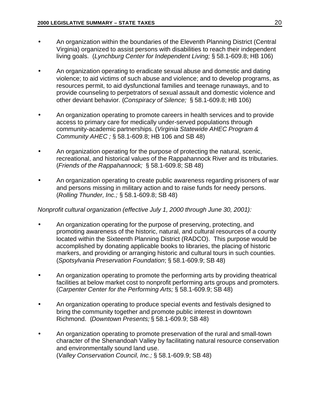- <span id="page-25-0"></span>• An organization within the boundaries of the Eleventh Planning District (Central Virginia) organized to assist persons with disabilities to reach their independent living goals. (*Lynchburg Center for Independent Living;* § 58.1-609.8; HB 106)
- An organization operating to eradicate sexual abuse and domestic and dating violence; to aid victims of such abuse and violence; and to develop programs, as resources permit, to aid dysfunctional families and teenage runaways, and to provide counseling to perpetrators of sexual assault and domestic violence and other deviant behavior. (*Conspiracy of Silence;* § 58.1-609.8; HB 106)
- An organization operating to promote careers in health services and to provide access to primary care for medically under-served populations through community-academic partnerships. (*Virginia Statewide AHEC Program & Community AHEC ;* § 58.1-609.8; HB 106 and SB 48)
- An organization operating for the purpose of protecting the natural, scenic, recreational, and historical values of the Rappahannock River and its tributaries. (*Friends of the Rappahannock;* § 58.1-609.8; SB 48)
- An organization operating to create public awareness regarding prisoners of war and persons missing in military action and to raise funds for needy persons. (*Rolling Thunder, Inc.;* § 58.1-609.8; SB 48)

## *Nonprofit cultural organization (effective July 1, 2000 through June 30, 2001):*

- An organization operating for the purpose of preserving, protecting, and promoting awareness of the historic, natural, and cultural resources of a county located within the Sixteenth Planning District (RADCO). This purpose would be accomplished by donating applicable books to libraries, the placing of historic markers, and providing or arranging historic and cultural tours in such counties. (*Spotsylvania Preservation Foundation*; § 58.1-609.9; SB 48)
- An organization operating to promote the performing arts by providing theatrical facilities at below market cost to nonprofit performing arts groups and promoters. (*Carpenter Center for the Performing Arts;* § 58.1-609.9; SB 48)
- An organization operating to produce special events and festivals designed to bring the community together and promote public interest in downtown Richmond. (*Downtown Presents;* § 58.1-609.9; SB 48)
- An organization operating to promote preservation of the rural and small-town character of the Shenandoah Valley by facilitating natural resource conservation and environmentally sound land use. (*Valley Conservation Council, Inc.;* § 58.1-609.9; SB 48)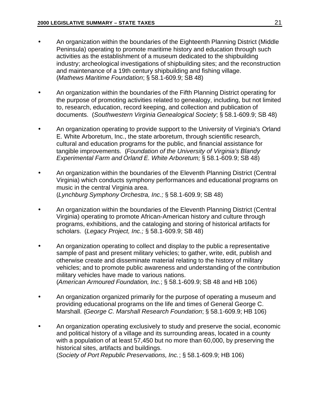- An organization within the boundaries of the Eighteenth Planning District (Middle Peninsula) operating to promote maritime history and education through such activities as the establishment of a museum dedicated to the shipbuilding industry; archeological investigations of shipbuilding sites; and the reconstruction and maintenance of a 19th century shipbuilding and fishing village. (*Mathews Maritime Foundation*; § 58.1-609.9; SB 48)
- An organization within the boundaries of the Fifth Planning District operating for the purpose of promoting activities related to genealogy, including, but not limited to, research, education, record keeping, and collection and publication of documents. (*Southwestern Virginia Genealogical Society*; § 58.1-609.9; SB 48)
- An organization operating to provide support to the University of Virginia's Orland E. White Arboretum, Inc., the state arboretum, through scientific research, cultural and education programs for the public, and financial assistance for tangible improvements. (*Foundation of the University of Virginia's Blandy Experimental Farm and Orland E. White Arboretum;* § 58.1-609.9; SB 48)
- An organization within the boundaries of the Eleventh Planning District (Central Virginia) which conducts symphony performances and educational programs on music in the central Virginia area*.* (*Lynchburg Symphony Orchestra, Inc.;* § 58.1-609.9; SB 48)
- An organization within the boundaries of the Eleventh Planning District (Central Virginia) operating to promote African-American history and culture through programs, exhibitions, and the cataloging and storing of historical artifacts for scholars. (*Legacy Project, Inc.;* § 58.1-609.9; SB 48)
- An organization operating to collect and display to the public a representative sample of past and present military vehicles; to gather, write, edit, publish and otherwise create and disseminate material relating to the history of military vehicles; and to promote public awareness and understanding of the contribution military vehicles have made to various nations. (*American Armoured Foundation, Inc.*; § 58.1-609.9; SB 48 and HB 106)
- An organization organized primarily for the purpose of operating a museum and providing educational programs on the life and times of General George C. Marshall. (*George C. Marshall Research Foundation*; § 58.1-609.9; HB 106)
- An organization operating exclusively to study and preserve the social, economic and political history of a village and its surrounding areas, located in a county with a population of at least 57,450 but no more than 60,000, by preserving the historical sites, artifacts and buildings. (*Society of Port Republic Preservations, Inc.*; § 58.1-609.9; HB 106)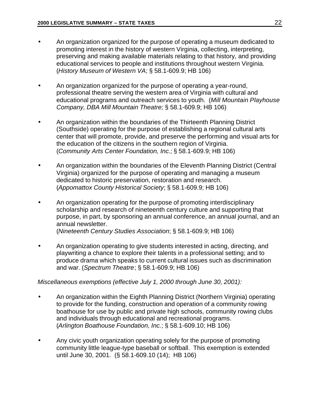- <span id="page-27-0"></span>• An organization organized for the purpose of operating a museum dedicated to promoting interest in the history of western Virginia, collecting, interpreting, preserving and making available materials relating to that history, and providing educational services to people and institutions throughout western Virginia. (*History Museum of Western VA*; § 58.1-609.9; HB 106)
- An organization organized for the purpose of operating a year-round, professional theatre serving the western area of Virginia with cultural and educational programs and outreach services to youth. (*Mill Mountain Playhouse Company, DBA Mill Mountain Theatre;* § 58.1-609.9; HB 106)
- An organization within the boundaries of the Thirteenth Planning District (Southside) operating for the purpose of establishing a regional cultural arts center that will promote, provide, and preserve the performing and visual arts for the education of the citizens in the southern region of Virginia. (*Community Arts Center Foundation, Inc.;* § 58.1-609.9; HB 106)
- An organization within the boundaries of the Eleventh Planning District (Central Virginia) organized for the purpose of operating and managing a museum dedicated to historic preservation, restoration and research. (*Appomattox County Historical Society*; § 58.1-609.9; HB 106)
- An organization operating for the purpose of promoting interdisciplinary scholarship and research of nineteenth century culture and supporting that purpose, in part, by sponsoring an annual conference, an annual journal, and an annual newsletter. (*Nineteenth Century Studies Association*; § 58.1-609.9; HB 106)

• An organization operating to give students interested in acting, directing, and playwriting a chance to explore their talents in a professional setting; and to produce drama which speaks to current cultural issues such as discrimination and war. (*Spectrum Theatre*; § 58.1-609.9; HB 106)

## *Miscellaneous exemptions (effective July 1, 2000 through June 30, 2001):*

- An organization within the Eighth Planning District (Northern Virginia) operating to provide for the funding, construction and operation of a community rowing boathouse for use by public and private high schools, community rowing clubs and individuals through educational and recreational programs. (*Arlington Boathouse Foundation, Inc.*; § 58.1-609.10; HB 106)
- Any civic youth organization operating solely for the purpose of promoting community little league-type baseball or softball. This exemption is extended until June 30, 2001. (§ 58.1-609.10 (14); HB 106)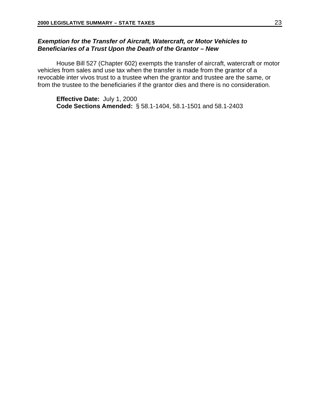## <span id="page-28-0"></span>*Exemption for the Transfer of Aircraft, Watercraft, or Motor Vehicles to Beneficiaries of a Trust Upon the Death of the Grantor – New*

House Bill 527 (Chapter 602) exempts the transfer of aircraft, watercraft or motor vehicles from sales and use tax when the transfer is made from the grantor of a revocable inter vivos trust to a trustee when the grantor and trustee are the same, or from the trustee to the beneficiaries if the grantor dies and there is no consideration.

**Effective Date:** July 1, 2000 **Code Sections Amended:** § 58.1-1404, 58.1-1501 and 58.1-2403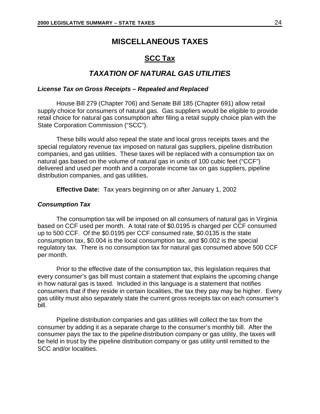## **MISCELLANEOUS TAXES**

## **SCC Tax**

## *TAXATION OF NATURAL GAS UTILITIES*

## <span id="page-29-0"></span>*License Tax on Gross Receipts – Repealed and Replaced*

House Bill 279 (Chapter 706) and Senate Bill 185 (Chapter 691) allow retail supply choice for consumers of natural gas. Gas suppliers would be eligible to provide retail choice for natural gas consumption after filing a retail supply choice plan with the State Corporation Commission ("SCC").

These bills would also repeal the state and local gross receipts taxes and the special regulatory revenue tax imposed on natural gas suppliers, pipeline distribution companies, and gas utilities. These taxes will be replaced with a consumption tax on natural gas based on the volume of natural gas in units of 100 cubic feet ("CCF") delivered and used per month and a corporate income tax on gas suppliers, pipeline distribution companies, and gas utilities.

**Effective Date:** Tax years beginning on or after January 1, 2002

### *Consumption Tax*

The consumption tax will be imposed on all consumers of natural gas in Virginia based on CCF used per month. A total rate of \$0.0195 is charged per CCF consumed up to 500 CCF. Of the \$0.0195 per CCF consumed rate, \$0.0135 is the state consumption tax, \$0.004 is the local consumption tax, and \$0.002 is the special regulatory tax. There is no consumption tax for natural gas consumed above 500 CCF per month.

Prior to the effective date of the consumption tax, this legislation requires that every consumer's gas bill must contain a statement that explains the upcoming change in how natural gas is taxed. Included in this language is a statement that notifies consumers that if they reside in certain localities, the tax they pay may be higher. Every gas utility must also separately state the current gross receipts tax on each consumer's bill.

Pipeline distribution companies and gas utilities will collect the tax from the consumer by adding it as a separate charge to the consumer's monthly bill. After the consumer pays the tax to the pipeline distribution company or gas utility, the taxes will be held in trust by the pipeline distribution company or gas utility until remitted to the SCC and/or localities.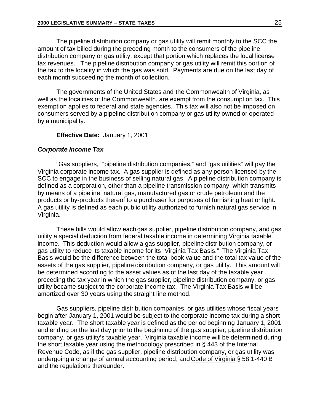<span id="page-30-0"></span>The pipeline distribution company or gas utility will remit monthly to the SCC the amount of tax billed during the preceding month to the consumers of the pipeline distribution company or gas utility, except that portion which replaces the local license tax revenues. The pipeline distribution company or gas utility will remit this portion of the tax to the locality in which the gas was sold. Payments are due on the last day of each month succeeding the month of collection.

The governments of the United States and the Commonwealth of Virginia, as well as the localities of the Commonwealth, are exempt from the consumption tax. This exemption applies to federal and state agencies. This tax will also not be imposed on consumers served by a pipeline distribution company or gas utility owned or operated by a municipality.

## **Effective Date:** January 1, 2001

## *Corporate Income Tax*

"Gas suppliers," "pipeline distribution companies," and "gas utilities" will pay the Virginia corporate income tax. A gas supplier is defined as any person licensed by the SCC to engage in the business of selling natural gas. A pipeline distribution company is defined as a corporation, other than a pipeline transmission company, which transmits by means of a pipeline, natural gas, manufactured gas or crude petroleum and the products or by-products thereof to a purchaser for purposes of furnishing heat or light. A gas utility is defined as each public utility authorized to furnish natural gas service in Virginia.

These bills would allow each gas supplier, pipeline distribution company, and gas utility a special deduction from federal taxable income in determining Virginia taxable income. This deduction would allow a gas supplier, pipeline distribution company, or gas utility to reduce its taxable income for its "Virginia Tax Basis." The Virginia Tax Basis would be the difference between the total book value and the total tax value of the assets of the gas supplier, pipeline distribution company, or gas utility. This amount will be determined according to the asset values as of the last day of the taxable year preceding the tax year in which the gas supplier, pipeline distribution company, or gas utility became subject to the corporate income tax. The Virginia Tax Basis will be amortized over 30 years using the straight line method.

Gas suppliers, pipeline distribution companies, or gas utilities whose fiscal years begin after January 1, 2001 would be subject to the corporate income tax during a short taxable year. The short taxable year is defined as the period beginning January 1, 2001 and ending on the last day prior to the beginning of the gas supplier, pipeline distribution company, or gas utility's taxable year. Virginia taxable income will be determined during the short taxable year using the methodology prescribed in § 443 of the Internal Revenue Code, as if the gas supplier, pipeline distribution company, or gas utility was undergoing a change of annual accounting period, and Code of Virginia § 58.1-440 B and the regulations thereunder.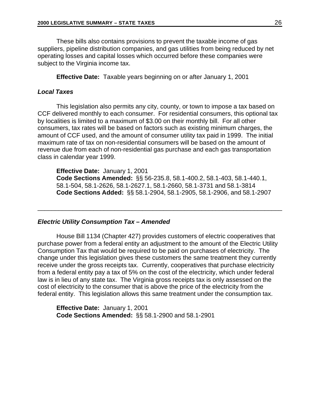<span id="page-31-0"></span>These bills also contains provisions to prevent the taxable income of gas suppliers, pipeline distribution companies, and gas utilities from being reduced by net operating losses and capital losses which occurred before these companies were subject to the Virginia income tax.

**Effective Date:** Taxable years beginning on or after January 1, 2001

## *Local Taxes*

This legislation also permits any city, county, or town to impose a tax based on CCF delivered monthly to each consumer. For residential consumers, this optional tax by localities is limited to a maximum of \$3.00 on their monthly bill. For all other consumers, tax rates will be based on factors such as existing minimum charges, the amount of CCF used, and the amount of consumer utility tax paid in 1999. The initial maximum rate of tax on non-residential consumers will be based on the amount of revenue due from each of non-residential gas purchase and each gas transportation class in calendar year 1999.

**Effective Date:** January 1, 2001 **Code Sections Amended:** §§ 56-235.8, 58.1-400.2, 58.1-403, 58.1-440.1, 58.1-504, 58.1-2626, 58.1-2627.1, 58.1-2660, 58.1-3731 and 58.1-3814 **Code Sections Added:** §§ 58.1-2904, 58.1-2905, 58.1-2906, and 58.1-2907

\_\_\_\_\_\_\_\_\_\_\_\_\_\_\_\_\_\_\_\_\_\_\_\_\_\_\_\_\_\_\_\_\_\_\_\_\_\_\_\_\_\_\_\_\_\_\_\_\_\_\_\_\_\_\_\_\_\_\_\_\_\_\_\_\_\_\_\_\_\_

#### *Electric Utility Consumption Tax – Amended*

House Bill 1134 (Chapter 427) provides customers of electric cooperatives that purchase power from a federal entity an adjustment to the amount of the Electric Utility Consumption Tax that would be required to be paid on purchases of electricity. The change under this legislation gives these customers the same treatment they currently receive under the gross receipts tax. Currently, cooperatives that purchase electricity from a federal entity pay a tax of 5% on the cost of the electricity, which under federal law is in lieu of any state tax. The Virginia gross receipts tax is only assessed on the cost of electricity to the consumer that is above the price of the electricity from the federal entity. This legislation allows this same treatment under the consumption tax.

**Effective Date:** January 1, 2001 **Code Sections Amended:** §§ 58.1-2900 and 58.1-2901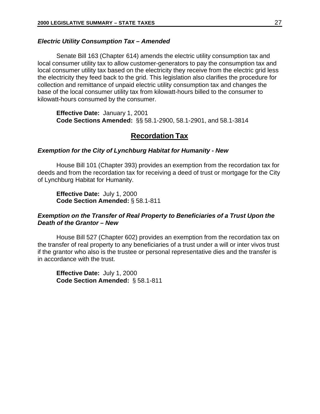#### <span id="page-32-0"></span>*Electric Utility Consumption Tax – Amended*

Senate Bill 163 (Chapter 614) amends the electric utility consumption tax and local consumer utility tax to allow customer-generators to pay the consumption tax and local consumer utility tax based on the electricity they receive from the electric grid less the electricity they feed back to the grid. This legislation also clarifies the procedure for collection and remittance of unpaid electric utility consumption tax and changes the base of the local consumer utility tax from kilowatt-hours billed to the consumer to kilowatt-hours consumed by the consumer.

**Effective Date:** January 1, 2001 **Code Sections Amended:** §§ 58.1-2900, 58.1-2901, and 58.1-3814

## **Recordation Tax**

### *Exemption for the City of Lynchburg Habitat for Humanity - New*

House Bill 101 (Chapter 393) provides an exemption from the recordation tax for deeds and from the recordation tax for receiving a deed of trust or mortgage for the City of Lynchburg Habitat for Humanity.

**Effective Date:** July 1, 2000 **Code Section Amended:** § 58.1-811

## *Exemption on the Transfer of Real Property to Beneficiaries of a Trust Upon the Death of the Grantor – New*

House Bill 527 (Chapter 602) provides an exemption from the recordation tax on the transfer of real property to any beneficiaries of a trust under a will or inter vivos trust if the grantor who also is the trustee or personal representative dies and the transfer is in accordance with the trust.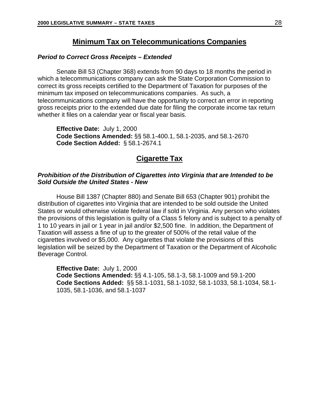## **Minimum Tax on Telecommunications Companies**

### <span id="page-33-0"></span>*Period to Correct Gross Receipts – Extended*

Senate Bill 53 (Chapter 368) extends from 90 days to 18 months the period in which a telecommunications company can ask the State Corporation Commission to correct its gross receipts certified to the Department of Taxation for purposes of the minimum tax imposed on telecommunications companies. As such, a telecommunications company will have the opportunity to correct an error in reporting gross receipts prior to the extended due date for filing the corporate income tax return whether it files on a calendar year or fiscal year basis.

**Effective Date:** July 1, 2000 **Code Sections Amended:** §§ 58.1-400.1, 58.1-2035, and 58.1-2670 **Code Section Added:** § 58.1-2674.1

## **Cigarette Tax**

## *Prohibition of the Distribution of Cigarettes into Virginia that are Intended to be Sold Outside the United States - New*

House Bill 1387 (Chapter 880) and Senate Bill 653 (Chapter 901) prohibit the distribution of cigarettes into Virginia that are intended to be sold outside the United States or would otherwise violate federal law if sold in Virginia. Any person who violates the provisions of this legislation is guilty of a Class 5 felony and is subject to a penalty of 1 to 10 years in jail or 1 year in jail and/or \$2,500 fine. In addition, the Department of Taxation will assess a fine of up to the greater of 500% of the retail value of the cigarettes involved or \$5,000. Any cigarettes that violate the provisions of this legislation will be seized by the Department of Taxation or the Department of Alcoholic Beverage Control.

**Effective Date:** July 1, 2000 **Code Sections Amended:** §§ 4.1-105, 58.1-3, 58.1-1009 and 59.1-200 **Code Sections Added:** §§ 58.1-1031, 58.1-1032, 58.1-1033, 58.1-1034, 58.1- 1035, 58.1-1036, and 58.1-1037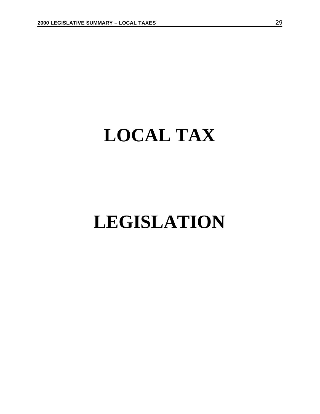## <span id="page-34-0"></span>**LOCAL TAX**

## **LEGISLATION**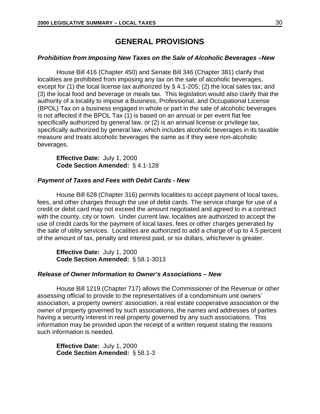## **GENERAL PROVISIONS**

## <span id="page-35-0"></span>*Prohibition from Imposing New Taxes on the Sale of Alcoholic Beverages –New*

House Bill 416 (Chapter 450) and Senate Bill 346 (Chapter 381) clarify that localities are prohibited from imposing any tax on the sale of alcoholic beverages, except for (1) the local license tax authorized by § 4.1-205; (2) the local sales tax; and (3) the local food and beverage or meals tax. This legislation would also clarify that the authority of a locality to impose a Business, Professional, and Occupational License (BPOL) Tax on a business engaged in whole or part in the sale of alcoholic beverages is not affected if the BPOL Tax  $(1)$  is based on an annual or per event flat fee specifically authorized by general law, or (2) is an annual license or privilege tax, specifically authorized by general law, which includes alcoholic beverages in its taxable measure and treats alcoholic beverages the same as if they were non-alcoholic beverages.

**Effective Date:** July 1, 2000 **Code Section Amended:** § 4.1-128

#### *Payment of Taxes and Fees with Debit Cards - New*

House Bill 628 (Chapter 316) permits localities to accept payment of local taxes, fees, and other charges through the use of debit cards. The service charge for use of a credit or debit card may not exceed the amount negotiated and agreed to in a contract with the county, city or town. Under current law, localities are authorized to accept the use of credit cards for the payment of local taxes, fees or other charges generated by the sale of utility services. Localities are authorized to add a charge of up to 4.5 percent of the amount of tax, penalty and interest paid, or six dollars, whichever is greater.

**Effective Date:** July 1, 2000 **Code Section Amended:** § 58.1-3013

## *Release of Owner Information to Owner's Associations – New*

House Bill 1219 (Chapter 717) allows the Commissioner of the Revenue or other assessing official to provide to the representatives of a condominium unit owners' association, a property owners' association, a real estate cooperative association or the owner of property governed by such associations, the names and addresses of parties having a security interest in real property governed by any such associations. This information may be provided upon the receipt of a written request stating the reasons such information is needed.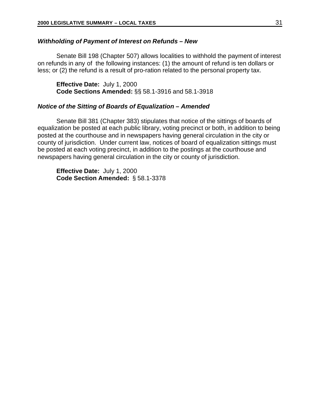## <span id="page-36-0"></span>*Withholding of Payment of Interest on Refunds – New*

Senate Bill 198 (Chapter 507) allows localities to withhold the payment of interest on refunds in any of the following instances: (1) the amount of refund is ten dollars or less; or (2) the refund is a result of pro-ration related to the personal property tax.

**Effective Date:** July 1, 2000 **Code Sections Amended:** §§ 58.1-3916 and 58.1-3918

## *Notice of the Sitting of Boards of Equalization – Amended*

Senate Bill 381 (Chapter 383) stipulates that notice of the sittings of boards of equalization be posted at each public library, voting precinct or both, in addition to being posted at the courthouse and in newspapers having general circulation in the city or county of jurisdiction. Under current law, notices of board of equalization sittings must be posted at each voting precinct, in addition to the postings at the courthouse and newspapers having general circulation in the city or county of jurisdiction.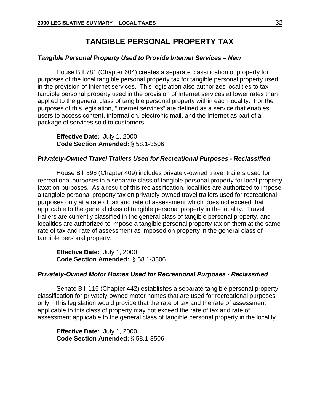## **TANGIBLE PERSONAL PROPERTY TAX**

## <span id="page-37-0"></span>*Tangible Personal Property Used to Provide Internet Services – New*

House Bill 781 (Chapter 604) creates a separate classification of property for purposes of the local tangible personal property tax for tangible personal property used in the provision of Internet services. This legislation also authorizes localities to tax tangible personal property used in the provision of Internet services at lower rates than applied to the general class of tangible personal property within each locality. For the purposes of this legislation, "Internet services" are defined as a service that enables users to access content, information, electronic mail, and the Internet as part of a package of services sold to customers.

**Effective Date:** July 1, 2000 **Code Section Amended:** § 58.1-3506

## *Privately-Owned Travel Trailers Used for Recreational Purposes - Reclassified*

House Bill 598 (Chapter 409) includes privately-owned travel trailers used for recreational purposes in a separate class of tangible personal property for local property taxation purposes. As a result of this reclassification, localities are authorized to impose a tangible personal property tax on privately-owned travel trailers used for recreational purposes only at a rate of tax and rate of assessment which does not exceed that applicable to the general class of tangible personal property in the locality. Travel trailers are currently classified in the general class of tangible personal property, and localities are authorized to impose a tangible personal property tax on them at the same rate of tax and rate of assessment as imposed on property in the general class of tangible personal property.

**Effective Date:** July 1, 2000 **Code Section Amended:** § 58.1-3506

## *Privately-Owned Motor Homes Used for Recreational Purposes - Reclassified*

Senate Bill 115 (Chapter 442) establishes a separate tangible personal property classification for privately-owned motor homes that are used for recreational purposes only. This legislation would provide that the rate of tax and the rate of assessment applicable to this class of property may not exceed the rate of tax and rate of assessment applicable to the general class of tangible personal property in the locality.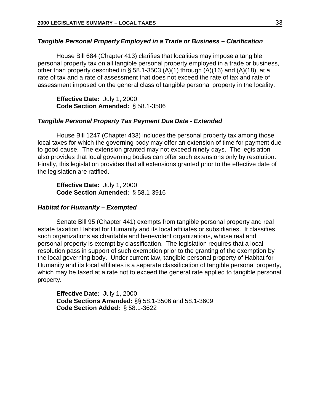## <span id="page-38-0"></span>*Tangible Personal Property Employed in a Trade or Business – Clarification*

House Bill 684 (Chapter 413) clarifies that localities may impose a tangible personal property tax on all tangible personal property employed in a trade or business, other than property described in § 58.1-3503 (A)(1) through  $(A)(16)$  and  $(A)(18)$ , at a rate of tax and a rate of assessment that does not exceed the rate of tax and rate of assessment imposed on the general class of tangible personal property in the locality.

**Effective Date:** July 1, 2000 **Code Section Amended:** § 58.1-3506

#### *Tangible Personal Property Tax Payment Due Date - Extended*

House Bill 1247 (Chapter 433) includes the personal property tax among those local taxes for which the governing body may offer an extension of time for payment due to good cause. The extension granted may not exceed ninety days. The legislation also provides that local governing bodies can offer such extensions only by resolution. Finally, this legislation provides that all extensions granted prior to the effective date of the legislation are ratified.

**Effective Date:** July 1, 2000 **Code Section Amended:** § 58.1-3916

#### *Habitat for Humanity – Exempted*

Senate Bill 95 (Chapter 441) exempts from tangible personal property and real estate taxation Habitat for Humanity and its local affiliates or subsidiaries. It classifies such organizations as charitable and benevolent organizations, whose real and personal property is exempt by classification. The legislation requires that a local resolution pass in support of such exemption prior to the granting of the exemption by the local governing body. Under current law, tangible personal property of Habitat for Humanity and its local affiliates is a separate classification of tangible personal property, which may be taxed at a rate not to exceed the general rate applied to tangible personal property.

**Effective Date:** July 1, 2000 **Code Sections Amended:** §§ 58.1-3506 and 58.1-3609 **Code Section Added:** § 58.1-3622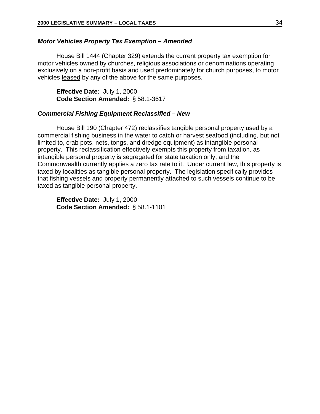### <span id="page-39-0"></span>*Motor Vehicles Property Tax Exemption – Amended*

House Bill 1444 (Chapter 329) extends the current property tax exemption for motor vehicles owned by churches, religious associations or denominations operating exclusively on a non-profit basis and used predominately for church purposes, to motor vehicles leased by any of the above for the same purposes.

**Effective Date:** July 1, 2000 **Code Section Amended:** § 58.1-3617

#### *Commercial Fishing Equipment Reclassified – New*

House Bill 190 (Chapter 472) reclassifies tangible personal property used by a commercial fishing business in the water to catch or harvest seafood (including, but not limited to, crab pots, nets, tongs, and dredge equipment) as intangible personal property. This reclassification effectively exempts this property from taxation, as intangible personal property is segregated for state taxation only, and the Commonwealth currently applies a zero tax rate to it. Under current law, this property is taxed by localities as tangible personal property. The legislation specifically provides that fishing vessels and property permanently attached to such vessels continue to be taxed as tangible personal property.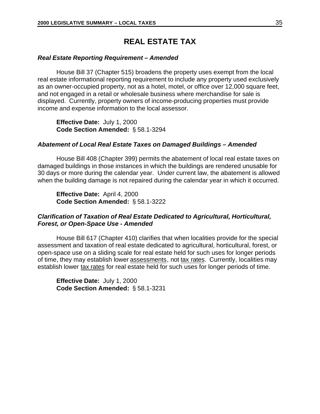## **REAL ESTATE TAX**

#### <span id="page-40-0"></span>*Real Estate Reporting Requirement – Amended*

House Bill 37 (Chapter 515) broadens the property uses exempt from the local real estate informational reporting requirement to include any property used exclusively as an owner-occupied property, not as a hotel, motel, or office over 12,000 square feet, and not engaged in a retail or wholesale business where merchandise for sale is displayed. Currently, property owners of income-producing properties must provide income and expense information to the local assessor.

**Effective Date:** July 1, 2000 **Code Section Amended:** § 58.1-3294

## *Abatement of Local Real Estate Taxes on Damaged Buildings – Amended*

House Bill 408 (Chapter 399) permits the abatement of local real estate taxes on damaged buildings in those instances in which the buildings are rendered unusable for 30 days or more during the calendar year. Under current law, the abatement is allowed when the building damage is not repaired during the calendar year in which it occurred.

**Effective Date:** April 4, 2000 **Code Section Amended:** § 58.1-3222

## *Clarification of Taxation of Real Estate Dedicated to Agricultural, Horticultural, Forest, or Open-Space Use - Amended*

House Bill 617 (Chapter 410) clarifies that when localities provide for the special assessment and taxation of real estate dedicated to agricultural, horticultural, forest, or open-space use on a sliding scale for real estate held for such uses for longer periods of time, they may establish lower assessments, not tax rates. Currently, localities may establish lower tax rates for real estate held for such uses for longer periods of time.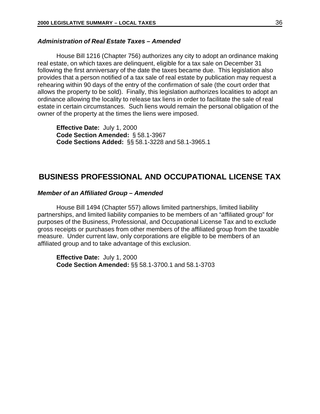## <span id="page-41-0"></span>*Administration of Real Estate Taxes – Amended*

House Bill 1216 (Chapter 756) authorizes any city to adopt an ordinance making real estate, on which taxes are delinquent, eligible for a tax sale on December 31 following the first anniversary of the date the taxes became due. This legislation also provides that a person notified of a tax sale of real estate by publication may request a rehearing within 90 days of the entry of the confirmation of sale (the court order that allows the property to be sold). Finally, this legislation authorizes localities to adopt an ordinance allowing the locality to release tax liens in order to facilitate the sale of real estate in certain circumstances. Such liens would remain the personal obligation of the owner of the property at the times the liens were imposed.

**Effective Date:** July 1, 2000 **Code Section Amended:** § 58.1-3967 **Code Sections Added:** §§ 58.1-3228 and 58.1-3965.1

## **BUSINESS PROFESSIONAL AND OCCUPATIONAL LICENSE TAX**

### *Member of an Affiliated Group – Amended*

House Bill 1494 (Chapter 557) allows limited partnerships, limited liability partnerships, and limited liability companies to be members of an "affiliated group" for purposes of the Business, Professional, and Occupational License Tax and to exclude gross receipts or purchases from other members of the affiliated group from the taxable measure. Under current law, only corporations are eligible to be members of an affiliated group and to take advantage of this exclusion.

**Effective Date:** July 1, 2000 **Code Section Amended:** §§ 58.1-3700.1 and 58.1-3703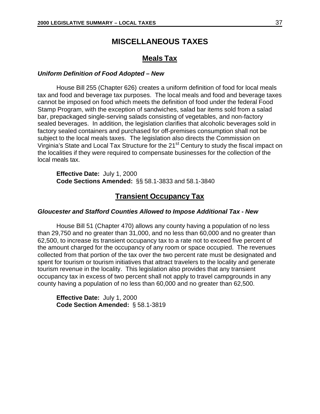## **MISCELLANEOUS TAXES**

## **Meals Tax**

## <span id="page-42-0"></span>*Uniform Definition of Food Adopted – New*

House Bill 255 (Chapter 626) creates a uniform definition of food for local meals tax and food and beverage tax purposes. The local meals and food and beverage taxes cannot be imposed on food which meets the definition of food under the federal Food Stamp Program, with the exception of sandwiches, salad bar items sold from a salad bar, prepackaged single-serving salads consisting of vegetables, and non-factory sealed beverages. In addition, the legislation clarifies that alcoholic beverages sold in factory sealed containers and purchased for off-premises consumption shall not be subject to the local meals taxes. The legislation also directs the Commission on Virginia's State and Local Tax Structure for the 21<sup>st</sup> Century to study the fiscal impact on the localities if they were required to compensate businesses for the collection of the local meals tax.

**Effective Date:** July 1, 2000 **Code Sections Amended:** §§ 58.1-3833 and 58.1-3840

## **Transient Occupancy Tax**

### *Gloucester and Stafford Counties Allowed to Impose Additional Tax - New*

House Bill 51 (Chapter 470) allows any county having a population of no less than 29,750 and no greater than 31,000, and no less than 60,000 and no greater than 62,500, to increase its transient occupancy tax to a rate not to exceed five percent of the amount charged for the occupancy of any room or space occupied. The revenues collected from that portion of the tax over the two percent rate must be designated and spent for tourism or tourism initiatives that attract travelers to the locality and generate tourism revenue in the locality. This legislation also provides that any transient occupancy tax in excess of two percent shall not apply to travel campgrounds in any county having a population of no less than 60,000 and no greater than 62,500.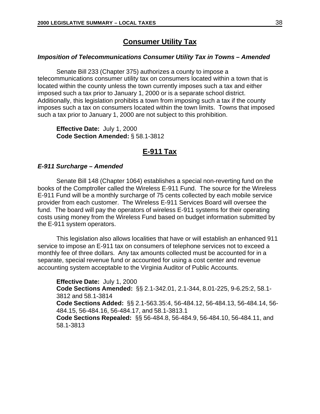## **Consumer Utility Tax**

#### <span id="page-43-0"></span>*Imposition of Telecommunications Consumer Utility Tax in Towns – Amended*

Senate Bill 233 (Chapter 375) authorizes a county to impose a telecommunications consumer utility tax on consumers located within a town that is located within the county unless the town currently imposes such a tax and either imposed such a tax prior to January 1, 2000 or is a separate school district. Additionally, this legislation prohibits a town from imposing such a tax if the county imposes such a tax on consumers located within the town limits. Towns that imposed such a tax prior to January 1, 2000 are not subject to this prohibition.

**Effective Date:** July 1, 2000 **Code Section Amended:** § 58.1-3812

## **E-911 Tax**

## *E-911 Surcharge – Amended*

Senate Bill 148 (Chapter 1064) establishes a special non-reverting fund on the books of the Comptroller called the Wireless E-911 Fund. The source for the Wireless E-911 Fund will be a monthly surcharge of 75 cents collected by each mobile service provider from each customer. The Wireless E-911 Services Board will oversee the fund. The board will pay the operators of wireless E-911 systems for their operating costs using money from the Wireless Fund based on budget information submitted by the E-911 system operators.

This legislation also allows localities that have or will establish an enhanced 911 service to impose an E-911 tax on consumers of telephone services not to exceed a monthly fee of three dollars. Any tax amounts collected must be accounted for in a separate, special revenue fund or accounted for using a cost center and revenue accounting system acceptable to the Virginia Auditor of Public Accounts.

**Effective Date:** July 1, 2000 **Code Sections Amended:** §§ 2.1-342.01, 2.1-344, 8.01-225, 9-6.25:2, 58.1- 3812 and 58.1-3814 **Code Sections Added:** §§ 2.1-563.35:4, 56-484.12, 56-484.13, 56-484.14, 56- 484.15, 56-484.16, 56-484.17, and 58.1-3813.1 **Code Sections Repealed:** §§ 56-484.8, 56-484.9, 56-484.10, 56-484.11, and 58.1-3813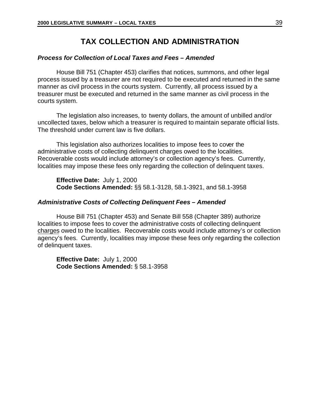## **TAX COLLECTION AND ADMINISTRATION**

## <span id="page-44-0"></span>*Process for Collection of Local Taxes and Fees – Amended*

House Bill 751 (Chapter 453) clarifies that notices, summons, and other legal process issued by a treasurer are not required to be executed and returned in the same manner as civil process in the courts system. Currently, all process issued by a treasurer must be executed and returned in the same manner as civil process in the courts system.

The legislation also increases, to twenty dollars, the amount of unbilled and/or uncollected taxes, below which a treasurer is required to maintain separate official lists. The threshold under current law is five dollars.

This legislation also authorizes localities to impose fees to cover the administrative costs of collecting delinquent charges owed to the localities. Recoverable costs would include attorney's or collection agency's fees. Currently, localities may impose these fees only regarding the collection of delinquent taxes.

**Effective Date:** July 1, 2000 **Code Sections Amended:** §§ 58.1-3128, 58.1-3921, and 58.1-3958

#### *Administrative Costs of Collecting Delinquent Fees – Amended*

House Bill 751 (Chapter 453) and Senate Bill 558 (Chapter 389) authorize localities to impose fees to cover the administrative costs of collecting delinquent charges owed to the localities. Recoverable costs would include attorney's or collection agency's fees. Currently, localities may impose these fees only regarding the collection of delinquent taxes.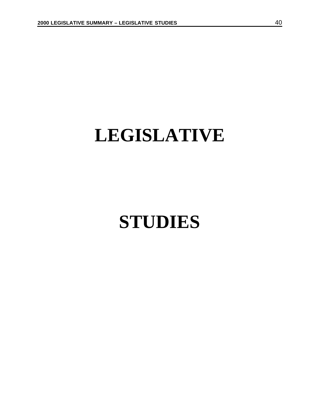## <span id="page-45-0"></span>**LEGISLATIVE**

## **STUDIES**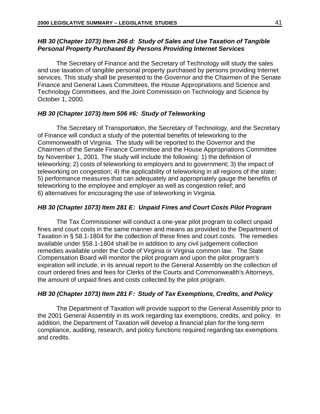## <span id="page-46-0"></span>*HB 30 (Chapter 1073) Item 266 d: Study of Sales and Use Taxation of Tangible Personal Property Purchased By Persons Providing Internet Services*

The Secretary of Finance and the Secretary of Technology will study the sales and use taxation of tangible personal property purchased by persons providing Internet services. This study shall be presented to the Governor and the Chairmen of the Senate Finance and General Laws Committees, the House Appropriations and Science and Technology Committees, and the Joint Commission on Technology and Science by October 1, 2000.

## *HB 30 (Chapter 1073) Item 506 #6: Study of Teleworking*

The Secretary of Transportation, the Secretary of Technology, and the Secretary of Finance will conduct a study of the potential benefits of teleworking to the Commonwealth of Virginia. The study will be reported to the Governor and the Chairmen of the Senate Finance Committee and the House Appropriations Committee by November 1, 2001. The study will include the following: 1) the definition of teleworking; 2) costs of teleworking to employers and to government; 3) the impact of teleworking on congestion; 4) the applicability of teleworking in all regions of the state; 5) performance measures that can adequately and appropriately gauge the benefits of teleworking to the employee and employer as well as congestion relief; and 6) alternatives for encouraging the use of teleworking in Virginia.

## *HB 30 (Chapter 1073) Item 281 E: Unpaid Fines and Court Costs Pilot Program*

The Tax Commissioner will conduct a one-year pilot program to collect unpaid fines and court costs in the same manner and means as provided to the Department of Taxation in § 58.1-1804 for the collection of these fines and court costs. The remedies available under §58.1-1804 shall be in addition to any civil judgement collection remedies available under the Code of Virginia or Virginia common law. The State Compensation Board will monitor the pilot program and upon the pilot program's expiration will include, in its annual report to the General Assembly on the collection of court ordered fines and fees for Clerks of the Courts and Commonwealth's Attorneys, the amount of unpaid fines and costs collected by the pilot program.

## *HB 30 (Chapter 1073) Item 281 F: Study of Tax Exemptions, Credits, and Policy*

The Department of Taxation will provide support to the General Assembly prior to the 2001 General Assembly in its work regarding tax exemptions, credits, and policy. In addition, the Department of Taxation will develop a financial plan for the long-term compliance, auditing, research, and policy functions required regarding tax exemptions and credits.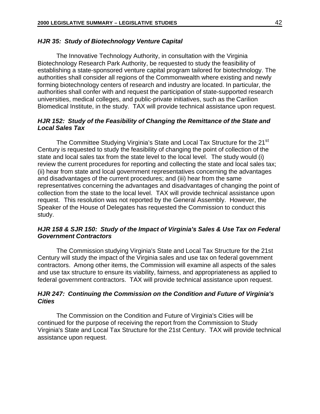### <span id="page-47-0"></span>*HJR 35: Study of Biotechnology Venture Capital*

The Innovative Technology Authority, in consultation with the Virginia Biotechnology Research Park Authority, be requested to study the feasibility of establishing a state-sponsored venture capital program tailored for biotechnology. The authorities shall consider all regions of the Commonwealth where existing and newly forming biotechnology centers of research and industry are located. In particular, the authorities shall confer with and request the participation of state-supported research universities, medical colleges, and public-private initiatives, such as the Carilion Biomedical Institute, in the study. TAX will provide technical assistance upon request.

## *HJR 152: Study of the Feasibility of Changing the Remittance of the State and Local Sales Tax*

The Committee Studying Virginia's State and Local Tax Structure for the 21<sup>st</sup> Century is requested to study the feasibility of changing the point of collection of the state and local sales tax from the state level to the local level. The study would (i) review the current procedures for reporting and collecting the state and local sales tax; (ii) hear from state and local government representatives concerning the advantages and disadvantages of the current procedures; and (iii) hear from the same representatives concerning the advantages and disadvantages of changing the point of collection from the state to the local level. TAX will provide technical assistance upon request. This resolution was not reported by the General Assembly. However, the Speaker of the House of Delegates has requested the Commission to conduct this study.

## *HJR 158 & SJR 150: Study of the Impact of Virginia's Sales & Use Tax on Federal Government Contractors*

The Commission studying Virginia's State and Local Tax Structure for the 21st Century will study the impact of the Virginia sales and use tax on federal government contractors. Among other items, the Commission will examine all aspects of the sales and use tax structure to ensure its viability, fairness, and appropriateness as applied to federal government contractors. TAX will provide technical assistance upon request.

## *HJR 247: Continuing the Commission on the Condition and Future of Virginia's Cities*

The Commission on the Condition and Future of Virginia's Cities will be continued for the purpose of receiving the report from the Commission to Study Virginia's State and Local Tax Structure for the 21st Century. TAX will provide technical assistance upon request.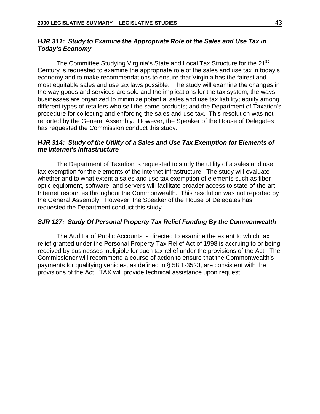## <span id="page-48-0"></span>*HJR 311: Study to Examine the Appropriate Role of the Sales and Use Tax in Today's Economy*

The Committee Studying Virginia's State and Local Tax Structure for the 21<sup>st</sup> Century is requested to examine the appropriate role of the sales and use tax in today's economy and to make recommendations to ensure that Virginia has the fairest and most equitable sales and use tax laws possible. The study will examine the changes in the way goods and services are sold and the implications for the tax system; the ways businesses are organized to minimize potential sales and use tax liability; equity among different types of retailers who sell the same products; and the Department of Taxation's procedure for collecting and enforcing the sales and use tax. This resolution was not reported by the General Assembly. However, the Speaker of the House of Delegates has requested the Commission conduct this study.

## *HJR 314: Study of the Utility of a Sales and Use Tax Exemption for Elements of the Internet's Infrastructure*

The Department of Taxation is requested to study the utility of a sales and use tax exemption for the elements of the internet infrastructure. The study will evaluate whether and to what extent a sales and use tax exemption of elements such as fiber optic equipment, software, and servers will facilitate broader access to state-of-the-art Internet resources throughout the Commonwealth. This resolution was not reported by the General Assembly. However, the Speaker of the House of Delegates has requested the Department conduct this study.

## *SJR 127: Study Of Personal Property Tax Relief Funding By the Commonwealth*

The Auditor of Public Accounts is directed to examine the extent to which tax relief granted under the Personal Property Tax Relief Act of 1998 is accruing to or being received by businesses ineligible for such tax relief under the provisions of the Act. The Commissioner will recommend a course of action to ensure that the Commonwealth's payments for qualifying vehicles, as defined in § 58.1-3523, are consistent with the provisions of the Act. TAX will provide technical assistance upon request.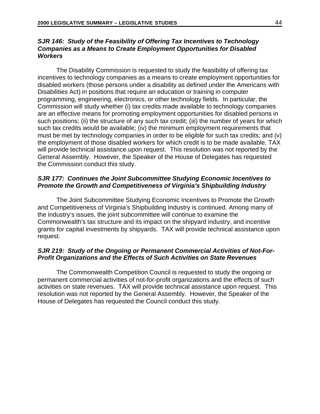## <span id="page-49-0"></span>*SJR 146: Study of the Feasibility of Offering Tax Incentives to Technology Companies as a Means to Create Employment Opportunities for Disabled Workers*

The Disability Commission is requested to study the feasibility of offering tax incentives to technology companies as a means to create employment opportunities for disabled workers (those persons under a disability as defined under the Americans with Disabilities Act) in positions that require an education or training in computer programming, engineering, electronics, or other technology fields. In particular, the Commission will study whether (i) tax credits made available to technology companies are an effective means for promoting employment opportunities for disabled persons in such positions; (ii) the structure of any such tax credit; (iii) the number of years for which such tax credits would be available; (iv) the minimum employment requirements that must be met by technology companies in order to be eligible for such tax credits; and (v) the employment of those disabled workers for which credit is to be made available. TAX will provide technical assistance upon request. This resolution was not reported by the General Assembly. However, the Speaker of the House of Delegates has requested the Commission conduct this study.

## *SJR 177: Continues the Joint Subcommittee Studying Economic Incentives to Promote the Growth and Competitiveness of Virginia's Shipbuilding Industry*

The Joint Subcommittee Studying Economic Incentives to Promote the Growth and Competitiveness of Virginia's Shipbuilding Industry is continued. Among many of the industry's issues, the joint subcommittee will continue to examine the Commonwealth's tax structure and its impact on the shipyard industry, and incentive grants for capital investments by shipyards. TAX will provide technical assistance upon request.

## *SJR 219: Study of the Ongoing or Permanent Commercial Activities of Not-For-Profit Organizations and the Effects of Such Activities on State Revenues*

The Commonwealth Competition Council is requested to study the ongoing or permanent commercial activities of not-for-profit organizations and the effects of such activities on state revenues. TAX will provide technical assistance upon request. This resolution was not reported by the General Assembly. However, the Speaker of the House of Delegates has requested the Council conduct this study.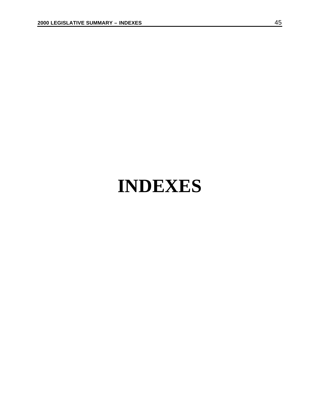## <span id="page-50-0"></span>**INDEXES**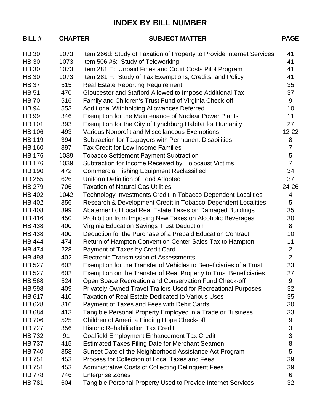## **INDEX BY BILL NUMBER**

| <b>BILL#</b>  | <b>CHAPTER</b> | <b>SUBJECT MATTER</b>                                                 | <b>PAGE</b>    |
|---------------|----------------|-----------------------------------------------------------------------|----------------|
| <b>HB 30</b>  | 1073           | Item 266d: Study of Taxation of Property to Provide Internet Services | 41             |
| <b>HB 30</b>  | 1073           | Item 506 #6: Study of Teleworking                                     | 41             |
| <b>HB 30</b>  | 1073           | Item 281 E: Unpaid Fines and Court Costs Pilot Program                | 41             |
| <b>HB 30</b>  | 1073           | Item 281 F: Study of Tax Exemptions, Credits, and Policy              | 41             |
| <b>HB37</b>   | 515            | <b>Real Estate Reporting Requirement</b>                              | 35             |
| <b>HB 51</b>  | 470            | Gloucester and Stafford Allowed to Impose Additional Tax              | 37             |
| <b>HB70</b>   | 516            | Family and Children's Trust Fund of Virginia Check-off                | 9              |
| <b>HB 94</b>  | 553            | Additional Withholding Allowances Deferred                            | 10             |
| <b>HB 99</b>  | 346            | Exemption for the Maintenance of Nuclear Power Plants                 | 11             |
| <b>HB 101</b> | 393            | Exemption for the City of Lynchburg Habitat for Humanity              | 27             |
| <b>HB 106</b> | 493            | Various Nonprofit and Miscellaneous Exemptions                        | $12 - 22$      |
| <b>HB 119</b> | 394            | Subtraction for Taxpayers with Permanent Disabilities                 | 8              |
| <b>HB 160</b> | 397            | Tax Credit for Low Income Families                                    | $\overline{7}$ |
| <b>HB 176</b> | 1039           | <b>Tobacco Settlement Payment Subtraction</b>                         | 5              |
| <b>HB 176</b> | 1039           | Subtraction for Income Received by Holocaust Victims                  | $\overline{7}$ |
| <b>HB 190</b> | 472            | <b>Commercial Fishing Equipment Reclassified</b>                      | 34             |
| <b>HB 255</b> | 626            | Uniform Definition of Food Adopted                                    | 37             |
| <b>HB 279</b> | 706            | <b>Taxation of Natural Gas Utilities</b>                              | 24-26          |
| <b>HB 402</b> | 1042           | Technology Investments Credit in Tobacco-Dependent Localities         | 4              |
| <b>HB 402</b> | 356            | Research & Development Credit in Tobacco-Dependent Localities         | 5              |
| <b>HB 408</b> | 399            | Abatement of Local Real Estate Taxes on Damaged Buildings             | 35             |
| <b>HB 416</b> | 450            | Prohibition from Imposing New Taxes on Alcoholic Beverages            | 30             |
| <b>HB 438</b> | 400            | Virginia Education Savings Trust Deduction                            | 8              |
| <b>HB 438</b> | 400            | Deduction for the Purchase of a Prepaid Education Contract            | 10             |
| <b>HB 444</b> | 474            | Return of Hampton Convention Center Sales Tax to Hampton              | 11             |
| <b>HB 474</b> | 228            | Payment of Taxes by Credit Card                                       | $\overline{2}$ |
| <b>HB 498</b> | 402            | <b>Electronic Transmission of Assessments</b>                         | $\overline{2}$ |
| <b>HB 527</b> | 602            | Exemption for the Transfer of Vehicles to Beneficiaries of a Trust    | 23             |
| <b>HB 527</b> | 602            | Exemption on the Transfer of Real Property to Trust Beneficiaries     | 27             |
| <b>HB 568</b> | 524            | Open Space Recreation and Conservation Fund Check-off                 | 9              |
| <b>HB 598</b> | 409            | Privately-Owned Travel Trailers Used for Recreational Purposes        | 32             |
| HB 617        | 410            | <b>Taxation of Real Estate Dedicated to Various Uses</b>              | 35             |
| <b>HB 628</b> | 316            | Payment of Taxes and Fees with Debit Cards                            | 30             |
| <b>HB 684</b> | 413            | Tangible Personal Property Employed in a Trade or Business            | 33             |
| <b>HB 706</b> | 525            | Children of America Finding Hope Check-off                            | 9              |
| <b>HB 727</b> | 356            | <b>Historic Rehabilitation Tax Credit</b>                             | 3              |
| <b>HB 732</b> | 91             | <b>Coalfield Employment Enhancement Tax Credit</b>                    | 3              |
| <b>HB 737</b> | 415            | <b>Estimated Taxes Filing Date for Merchant Seamen</b>                | 8              |
| <b>HB 740</b> | 358            | Sunset Date of the Neighborhood Assistance Act Program                | 5              |
| <b>HB 751</b> | 453            | Process for Collection of Local Taxes and Fees                        | 39             |
| <b>HB 751</b> | 453            | <b>Administrative Costs of Collecting Delinquent Fees</b>             | 39             |
| <b>HB 778</b> | 746            | <b>Enterprise Zones</b>                                               | 6              |
| <b>HB 781</b> | 604            | Tangible Personal Property Used to Provide Internet Services          | 32             |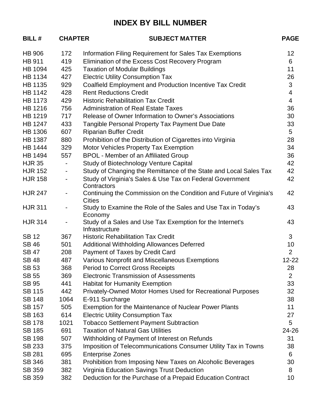## **INDEX BY BILL NUMBER**

| <b>BILL#</b>   | <b>CHAPTER</b>           | <b>SUBJECT MATTER</b>                                                | <b>PAGE</b>    |
|----------------|--------------------------|----------------------------------------------------------------------|----------------|
| <b>HB 906</b>  | 172                      | Information Filing Requirement for Sales Tax Exemptions              | 12             |
| <b>HB 911</b>  | 419                      | Elimination of the Excess Cost Recovery Program                      | 6              |
| <b>HB 1094</b> | 425                      | <b>Taxation of Modular Buildings</b>                                 | 11             |
| <b>HB 1134</b> | 427                      | <b>Electric Utility Consumption Tax</b>                              | 26             |
| HB 1135        | 929                      | <b>Coalfield Employment and Production Incentive Tax Credit</b>      | 3              |
| <b>HB 1142</b> | 428                      | <b>Rent Reductions Credit</b>                                        | $\overline{4}$ |
| HB 1173        | 429                      | <b>Historic Rehabilitation Tax Credit</b>                            | $\overline{4}$ |
| HB 1216        | 756                      | <b>Administration of Real Estate Taxes</b>                           | 36             |
| HB 1219        | 717                      | Release of Owner Information to Owner's Associations                 | 30             |
| <b>HB 1247</b> | 433                      | Tangible Personal Property Tax Payment Due Date                      | 33             |
| <b>HB 1306</b> | 607                      | <b>Riparian Buffer Credit</b>                                        | 5              |
| <b>HB 1387</b> | 880                      | Prohibition of the Distribution of Cigarettes into Virginia          | 28             |
| <b>HB 1444</b> | 329                      | Motor Vehicles Property Tax Exemption                                | 34             |
| <b>HB 1494</b> | 557                      | <b>BPOL - Member of an Affiliated Group</b>                          | 36             |
| <b>HJR 35</b>  | $\blacksquare$           | Study of Biotechnology Venture Capital                               | 42             |
| <b>HJR 152</b> | $\overline{\phantom{a}}$ | Study of Changing the Remittance of the State and Local Sales Tax    | 42             |
| <b>HJR 158</b> | $\overline{\phantom{a}}$ | Study of Virginia's Sales & Use Tax on Federal Government            | 42             |
|                |                          | Contractors                                                          |                |
| <b>HJR 247</b> | $\overline{\phantom{a}}$ | Continuing the Commission on the Condition and Future of Virginia's  | 42             |
|                |                          | <b>Cities</b>                                                        |                |
| <b>HJR 311</b> | $\overline{\phantom{a}}$ | Study to Examine the Role of the Sales and Use Tax in Today's        | 43             |
| <b>HJR 314</b> | $\overline{\phantom{a}}$ | Economy<br>Study of a Sales and Use Tax Exemption for the Internet's | 43             |
|                |                          | Infrastructure                                                       |                |
| <b>SB12</b>    | 367                      | <b>Historic Rehabilitation Tax Credit</b>                            | 3              |
| <b>SB46</b>    | 501                      | <b>Additional Withholding Allowances Deferred</b>                    | 10             |
| <b>SB 47</b>   | 208                      | Payment of Taxes by Credit Card                                      | $\overline{2}$ |
| <b>SB48</b>    | 487                      | Various Nonprofit and Miscellaneous Exemptions                       | $12 - 22$      |
| <b>SB 53</b>   | 368                      | <b>Period to Correct Gross Receipts</b>                              | 28             |
| <b>SB 55</b>   | 369                      | <b>Electronic Transmission of Assessments</b>                        | $\overline{2}$ |
| <b>SB 95</b>   | 441                      | <b>Habitat for Humanity Exemption</b>                                | 33             |
| <b>SB 115</b>  | 442                      | Privately-Owned Motor Homes Used for Recreational Purposes           | 32             |
| <b>SB 148</b>  | 1064                     | E-911 Surcharge                                                      | 38             |
| <b>SB 157</b>  | 505                      | Exemption for the Maintenance of Nuclear Power Plants                | 11             |
| <b>SB 163</b>  | 614                      | <b>Electric Utility Consumption Tax</b>                              | 27             |
| <b>SB 178</b>  | 1021                     | <b>Tobacco Settlement Payment Subtraction</b>                        | 5              |
| <b>SB 185</b>  | 691                      | <b>Taxation of Natural Gas Utilities</b>                             | 24-26          |
| <b>SB 198</b>  | 507                      | Withholding of Payment of Interest on Refunds                        | 31             |
| SB 233         | 375                      | Imposition of Telecommunications Consumer Utility Tax in Towns       | 38             |
| <b>SB 281</b>  | 695                      | <b>Enterprise Zones</b>                                              | 6              |
| SB 346         | 381                      | Prohibition from Imposing New Taxes on Alcoholic Beverages           | 30             |
| SB 359         | 382                      | Virginia Education Savings Trust Deduction                           | 8              |
| SB 359         | 382                      | Deduction for the Purchase of a Prepaid Education Contract           | 10             |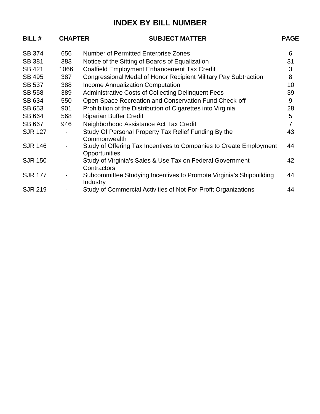## **INDEX BY BILL NUMBER**

| <b>BILL#</b>   | <b>CHAPTER</b> | <b>SUBJECT MATTER</b>                                                               | <b>PAGE</b>    |
|----------------|----------------|-------------------------------------------------------------------------------------|----------------|
| <b>SB 374</b>  | 656            | <b>Number of Permitted Enterprise Zones</b>                                         | 6              |
| <b>SB 381</b>  | 383            | Notice of the Sitting of Boards of Equalization                                     | 31             |
| SB 421         | 1066           | <b>Coalfield Employment Enhancement Tax Credit</b>                                  | 3              |
| <b>SB 495</b>  | 387            | Congressional Medal of Honor Recipient Military Pay Subtraction                     | 8              |
| <b>SB 537</b>  | 388            | <b>Income Annualization Computation</b>                                             | 10             |
| <b>SB 558</b>  | 389            | <b>Administrative Costs of Collecting Delinquent Fees</b>                           | 39             |
| SB 634         | 550            | Open Space Recreation and Conservation Fund Check-off                               | 9              |
| SB 653         | 901            | Prohibition of the Distribution of Cigarettes into Virginia                         | 28             |
| SB 664         | 568            | <b>Riparian Buffer Credit</b>                                                       | 5              |
| <b>SB 667</b>  | 946            | Neighborhood Assistance Act Tax Credit                                              | $\overline{7}$ |
| <b>SJR 127</b> |                | Study Of Personal Property Tax Relief Funding By the<br>Commonwealth                | 43             |
| <b>SJR 146</b> |                | Study of Offering Tax Incentives to Companies to Create Employment<br>Opportunities | 44             |
| <b>SJR 150</b> |                | Study of Virginia's Sales & Use Tax on Federal Government<br>Contractors            | 42             |
| <b>SJR 177</b> |                | Subcommittee Studying Incentives to Promote Virginia's Shipbuilding<br>Industry     | 44             |
| <b>SJR 219</b> |                | Study of Commercial Activities of Not-For-Profit Organizations                      | 44             |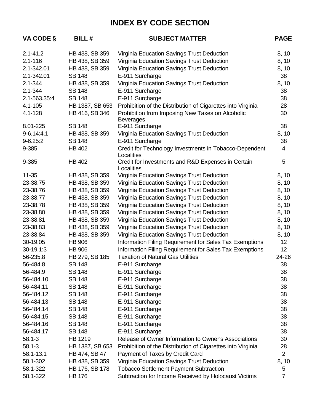| VA CODE §      | <b>BILL#</b>    | <b>SUBJECT MATTER</b>                                                | <b>PAGE</b>     |
|----------------|-----------------|----------------------------------------------------------------------|-----------------|
| $2.1 - 41.2$   | HB 438, SB 359  | Virginia Education Savings Trust Deduction                           | 8, 10           |
| $2.1 - 116$    | HB 438, SB 359  | Virginia Education Savings Trust Deduction                           | 8, 10           |
| 2.1-342.01     | HB 438, SB 359  | Virginia Education Savings Trust Deduction                           | 8, 10           |
| 2.1-342.01     | <b>SB 148</b>   | E-911 Surcharge                                                      | 38              |
| $2.1 - 344$    | HB 438, SB 359  | Virginia Education Savings Trust Deduction                           | 8, 10           |
| $2.1 - 344$    | <b>SB 148</b>   | E-911 Surcharge                                                      | 38              |
| 2.1-563.35:4   | <b>SB 148</b>   | E-911 Surcharge                                                      | 38              |
| $4.1 - 105$    | HB 1387, SB 653 | Prohibition of the Distribution of Cigarettes into Virginia          | 28              |
| $4.1 - 128$    | HB 416, SB 346  | Prohibition from Imposing New Taxes on Alcoholic<br><b>Beverages</b> | 30              |
| 8.01-225       | <b>SB 148</b>   | E-911 Surcharge                                                      | 38              |
| $9 - 6.14:4.1$ | HB 438, SB 359  | Virginia Education Savings Trust Deduction                           | 8, 10           |
| $9 - 6.25:2$   | <b>SB 148</b>   | E-911 Surcharge                                                      | 38              |
| 9-385          | <b>HB 402</b>   | Credit for Technology Investments in Tobacco-Dependent<br>Localities | 4               |
| 9-385          | <b>HB 402</b>   | Credit for Investments and R&D Expenses in Certain<br>Localities     | 5               |
| $11 - 35$      | HB 438, SB 359  | Virginia Education Savings Trust Deduction                           | 8, 10           |
| 23-38.75       | HB 438, SB 359  | Virginia Education Savings Trust Deduction                           | 8, 10           |
| 23-38.76       | HB 438, SB 359  | Virginia Education Savings Trust Deduction                           | 8, 10           |
| 23-38.77       | HB 438, SB 359  | Virginia Education Savings Trust Deduction                           | 8, 10           |
| 23-38.78       | HB 438, SB 359  | Virginia Education Savings Trust Deduction                           | 8, 10           |
| 23-38.80       | HB 438, SB 359  | Virginia Education Savings Trust Deduction                           | 8, 10           |
| 23-38.81       | HB 438, SB 359  | Virginia Education Savings Trust Deduction                           | 8, 10           |
| 23-38.83       | HB 438, SB 359  | Virginia Education Savings Trust Deduction                           | 8, 10           |
| 23-38.84       | HB 438, SB 359  | Virginia Education Savings Trust Deduction                           | 8, 10           |
| 30-19.05       | <b>HB 906</b>   | Information Filing Requirement for Sales Tax Exemptions              | 12 <sup>°</sup> |
| $30-19.1:3$    | <b>HB 906</b>   | Information Filing Requirement for Sales Tax Exemptions              | 12 <sup>°</sup> |
| 56-235.8       | HB 279, SB 185  | <b>Taxation of Natural Gas Utilities</b>                             | 24-26           |
| 56-484.8       | <b>SB 148</b>   | E-911 Surcharge                                                      | 38              |
| 56-484.9       | SB 148          | E-911 Surcharge                                                      | 38              |
| 56-484.10      | <b>SB 148</b>   | E-911 Surcharge                                                      | 38              |
| 56-484.11      | <b>SB 148</b>   | E-911 Surcharge                                                      | 38              |
| 56-484.12      | <b>SB 148</b>   | E-911 Surcharge                                                      | 38              |
| 56-484.13      | <b>SB 148</b>   | E-911 Surcharge                                                      | 38              |
| 56-484.14      | <b>SB 148</b>   | E-911 Surcharge                                                      | 38              |
| 56-484.15      | <b>SB 148</b>   | E-911 Surcharge                                                      | 38              |
| 56-484.16      | <b>SB 148</b>   | E-911 Surcharge                                                      | 38              |
| 56-484.17      | <b>SB 148</b>   | E-911 Surcharge                                                      | 38              |
| $58.1 - 3$     | HB 1219         | Release of Owner Information to Owner's Associations                 | 30              |
| $58.1 - 3$     | HB 1387, SB 653 | Prohibition of the Distribution of Cigarettes into Virginia          | 28              |
| 58.1-13.1      | HB 474, SB 47   | Payment of Taxes by Credit Card                                      | $\overline{2}$  |
| 58.1-302       | HB 438, SB 359  | Virginia Education Savings Trust Deduction                           | 8, 10           |
| 58.1-322       | HB 176, SB 178  | <b>Tobacco Settlement Payment Subtraction</b>                        | 5               |
| 58.1-322       | <b>HB 176</b>   | Subtraction for Income Received by Holocaust Victims                 | $\overline{7}$  |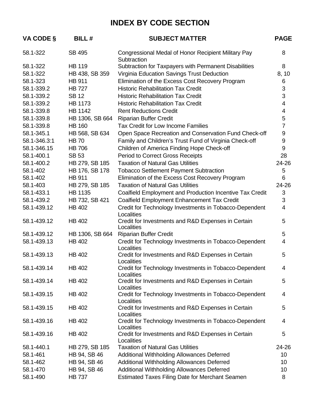| VA CODE §    | <b>BILL#</b>    | <b>SUBJECT MATTER</b>                                                | <b>PAGE</b>              |
|--------------|-----------------|----------------------------------------------------------------------|--------------------------|
| 58.1-322     | <b>SB 495</b>   | Congressional Medal of Honor Recipient Military Pay<br>Subtraction   | 8                        |
| 58.1-322     | <b>HB 119</b>   | Subtraction for Taxpayers with Permanent Disabilities                | 8                        |
| 58.1-322     | HB 438, SB 359  | Virginia Education Savings Trust Deduction                           | 8, 10                    |
| 58.1-323     | <b>HB 911</b>   | Elimination of the Excess Cost Recovery Program                      | 6                        |
| 58.1-339.2   | <b>HB 727</b>   | <b>Historic Rehabilitation Tax Credit</b>                            | $\sqrt{3}$               |
| 58.1-339.2   | <b>SB 12</b>    | <b>Historic Rehabilitation Tax Credit</b>                            | 3                        |
| 58.1-339.2   | <b>HB 1173</b>  | <b>Historic Rehabilitation Tax Credit</b>                            | 4                        |
| 58.1-339.8   | <b>HB 1142</b>  | <b>Rent Reductions Credit</b>                                        | $\overline{\mathcal{A}}$ |
| 58.1-339.8   | HB 1306, SB 664 | <b>Riparian Buffer Credit</b>                                        | 5                        |
| 58.1-339.8   | <b>HB 160</b>   | Tax Credit for Low Income Families                                   | $\overline{7}$           |
| 58.1-345.1   | HB 568, SB 634  | Open Space Recreation and Conservation Fund Check-off                | 9                        |
| 58.1-346.3:1 | <b>HB 70</b>    | Family and Children's Trust Fund of Virginia Check-off               | 9                        |
| 58.1-346.15  | <b>HB 706</b>   | Children of America Finding Hope Check-off                           | 9                        |
| 58.1-400.1   | <b>SB 53</b>    | <b>Period to Correct Gross Receipts</b>                              | 28                       |
| 58.1-400.2   | HB 279, SB 185  | <b>Taxation of Natural Gas Utilities</b>                             | 24-26                    |
| 58.1-402     | HB 176, SB 178  | <b>Tobacco Settlement Payment Subtraction</b>                        | 5                        |
| 58.1-402     | <b>HB 911</b>   | Elimination of the Excess Cost Recovery Program                      | 6                        |
| 58.1-403     | HB 279, SB 185  | <b>Taxation of Natural Gas Utilities</b>                             | 24-26                    |
| 58.1-433.1   | <b>HB 1135</b>  | Coalfield Employment and Production Incentive Tax Credit             | 3                        |
| 58.1-439.2   | HB 732, SB 421  | Coalfield Employment Enhancement Tax Credit                          | 3                        |
| 58.1-439.12  | <b>HB 402</b>   | Credit for Technology Investments in Tobacco-Dependent<br>Localities | 4                        |
| 58.1-439.12  | <b>HB 402</b>   | Credit for Investments and R&D Expenses in Certain<br>Localities     | 5                        |
| 58.1-439.12  | HB 1306, SB 664 | <b>Riparian Buffer Credit</b>                                        | 5                        |
| 58.1-439.13  | <b>HB 402</b>   | Credit for Technology Investments in Tobacco-Dependent<br>Localities | 4                        |
| 58.1-439.13  | <b>HB 402</b>   | Credit for Investments and R&D Expenses in Certain<br>Localities     | 5                        |
| 58.1-439.14  | <b>HB 402</b>   | Credit for Technology Investments in Tobacco-Dependent<br>Localities | 4                        |
| 58.1-439.14  | <b>HB 402</b>   | Credit for Investments and R&D Expenses in Certain<br>Localities     | 5                        |
| 58.1-439.15  | HB 402          | Credit for Technology Investments in Tobacco-Dependent<br>Localities | 4                        |
| 58.1-439.15  | HB 402          | Credit for Investments and R&D Expenses in Certain<br>Localities     | 5                        |
| 58.1-439.16  | HB 402          | Credit for Technology Investments in Tobacco-Dependent<br>Localities | 4                        |
| 58.1-439.16  | HB 402          | Credit for Investments and R&D Expenses in Certain<br>Localities     | 5                        |
| 58.1-440.1   | HB 279, SB 185  | <b>Taxation of Natural Gas Utilities</b>                             | 24-26                    |
| 58.1-461     | HB 94, SB 46    | Additional Withholding Allowances Deferred                           | 10 <sup>°</sup>          |
| 58.1-462     | HB 94, SB 46    | Additional Withholding Allowances Deferred                           | 10 <sup>°</sup>          |
| 58.1-470     | HB 94, SB 46    | Additional Withholding Allowances Deferred                           | 10                       |
| 58.1-490     | <b>HB 737</b>   | <b>Estimated Taxes Filing Date for Merchant Seamen</b>               | 8                        |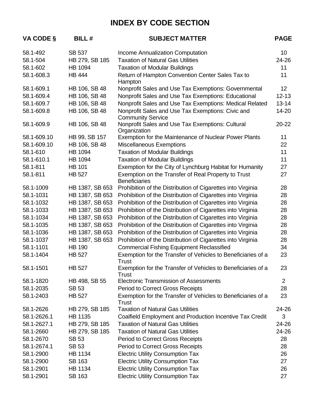| VA CODE §   | <b>BILL#</b>    | <b>SUBJECT MATTER</b>                                                         | <b>PAGE</b>     |
|-------------|-----------------|-------------------------------------------------------------------------------|-----------------|
| 58.1-492    | <b>SB 537</b>   | Income Annualization Computation                                              | 10 <sup>°</sup> |
| 58.1-504    | HB 279, SB 185  | <b>Taxation of Natural Gas Utilities</b>                                      | 24-26           |
| 58.1-602    | <b>HB 1094</b>  | <b>Taxation of Modular Buildings</b>                                          | 11              |
| 58.1-608.3  | <b>HB 444</b>   | Return of Hampton Convention Center Sales Tax to<br>Hampton                   | 11              |
| 58.1-609.1  | HB 106, SB 48   | Nonprofit Sales and Use Tax Exemptions: Governmental                          | 12 <sup>2</sup> |
| 58.1-609.4  | HB 106, SB 48   | Nonprofit Sales and Use Tax Exemptions: Educational                           | $12 - 13$       |
| 58.1-609.7  | HB 106, SB 48   | Nonprofit Sales and Use Tax Exemptions: Medical Related                       | $13 - 14$       |
| 58.1-609.8  | HB 106, SB 48   | Nonprofit Sales and Use Tax Exemptions: Civic and<br><b>Community Service</b> | 14-20           |
| 58.1-609.9  | HB 106, SB 48   | Nonprofit Sales and Use Tax Exemptions: Cultural<br>Organization              | $20 - 22$       |
| 58.1-609.10 | HB 99, SB 157   | Exemption for the Maintenance of Nuclear Power Plants                         | 11              |
| 58.1-609.10 | HB 106, SB 48   | <b>Miscellaneous Exemptions</b>                                               | 22              |
| 58.1-610    | <b>HB 1094</b>  | <b>Taxation of Modular Buildings</b>                                          | 11              |
| 58.1-610.1  | HB 1094         | <b>Taxation of Modular Buildings</b>                                          | 11              |
| 58.1-811    | <b>HB 101</b>   | Exemption for the City of Lynchburg Habitat for Humanity                      | 27              |
| 58.1-811    | <b>HB 527</b>   | Exemption on the Transfer of Real Property to Trust<br><b>Beneficiaries</b>   | 27              |
| 58.1-1009   | HB 1387, SB 653 | Prohibition of the Distribution of Cigarettes into Virginia                   | 28              |
| 58.1-1031   | HB 1387, SB 653 | Prohibition of the Distribution of Cigarettes into Virginia                   | 28              |
| 58.1-1032   | HB 1387, SB 653 | Prohibition of the Distribution of Cigarettes into Virginia                   | 28              |
| 58.1-1033   | HB 1387, SB 653 | Prohibition of the Distribution of Cigarettes into Virginia                   | 28              |
| 58.1-1034   | HB 1387, SB 653 | Prohibition of the Distribution of Cigarettes into Virginia                   | 28              |
| 58.1-1035   | HB 1387, SB 653 | Prohibition of the Distribution of Cigarettes into Virginia                   | 28              |
| 58.1-1036   | HB 1387, SB 653 | Prohibition of the Distribution of Cigarettes into Virginia                   | 28              |
| 58.1-1037   | HB 1387, SB 653 | Prohibition of the Distribution of Cigarettes into Virginia                   | 28              |
| 58.1-1101   | <b>HB 190</b>   | <b>Commercial Fishing Equipment Reclassified</b>                              | 34              |
| 58.1-1404   | <b>HB 527</b>   | Exemption for the Transfer of Vehicles to Beneficiaries of a<br>Trust         | 23              |
| 58.1-1501   | <b>HB 527</b>   | Exemption for the Transfer of Vehicles to Beneficiaries of a<br>Trust         | 23              |
| 58.1-1820   | HB 498, SB 55   | <b>Electronic Transmission of Assessments</b>                                 | 2               |
| 58.1-2035   | <b>SB 53</b>    | <b>Period to Correct Gross Receipts</b>                                       | 28              |
| 58.1-2403   | <b>HB 527</b>   | Exemption for the Transfer of Vehicles to Beneficiaries of a<br>Trust         | 23              |
| 58.1-2626   | HB 279, SB 185  | <b>Taxation of Natural Gas Utilities</b>                                      | 24-26           |
| 58.1-2626.1 | HB 1135         | Coalfield Employment and Production Incentive Tax Credit                      | 3               |
| 58.1-2627.1 | HB 279, SB 185  | <b>Taxation of Natural Gas Utilities</b>                                      | 24-26           |
| 58.1-2660   | HB 279, SB 185  | <b>Taxation of Natural Gas Utilities</b>                                      | 24-26           |
| 58.1-2670   | <b>SB 53</b>    | <b>Period to Correct Gross Receipts</b>                                       | 28              |
| 58.1-2674.1 | <b>SB 53</b>    | <b>Period to Correct Gross Receipts</b>                                       | 28              |
| 58.1-2900   | <b>HB 1134</b>  | <b>Electric Utility Consumption Tax</b>                                       | 26              |
| 58.1-2900   | SB 163          | <b>Electric Utility Consumption Tax</b>                                       | 27              |
| 58.1-2901   | HB 1134         | <b>Electric Utility Consumption Tax</b>                                       | 26              |
| 58.1-2901   | SB 163          | <b>Electric Utility Consumption Tax</b>                                       | 27              |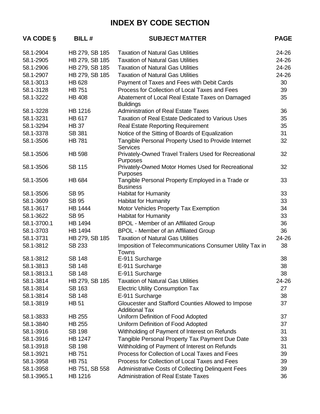| VA CODE §   | <b>BILL#</b>   | <b>SUBJECT MATTER</b>                                                       | <b>PAGE</b> |
|-------------|----------------|-----------------------------------------------------------------------------|-------------|
| 58.1-2904   | HB 279, SB 185 | <b>Taxation of Natural Gas Utilities</b>                                    | 24-26       |
| 58.1-2905   | HB 279, SB 185 | <b>Taxation of Natural Gas Utilities</b>                                    | 24-26       |
| 58.1-2906   | HB 279, SB 185 | <b>Taxation of Natural Gas Utilities</b>                                    | 24-26       |
| 58.1-2907   | HB 279, SB 185 | <b>Taxation of Natural Gas Utilities</b>                                    | 24-26       |
| 58.1-3013   | <b>HB 628</b>  | Payment of Taxes and Fees with Debit Cards                                  | 30          |
| 58.1-3128   | <b>HB 751</b>  | Process for Collection of Local Taxes and Fees                              | 39          |
| 58.1-3222   | <b>HB 408</b>  | Abatement of Local Real Estate Taxes on Damaged<br><b>Buildings</b>         | 35          |
| 58.1-3228   | <b>HB 1216</b> | <b>Administration of Real Estate Taxes</b>                                  | 36          |
| 58.1-3231   | <b>HB 617</b>  | <b>Taxation of Real Estate Dedicated to Various Uses</b>                    | 35          |
| 58.1-3294   | <b>HB 37</b>   | <b>Real Estate Reporting Requirement</b>                                    | 35          |
| 58.1-3378   | SB 381         | Notice of the Sitting of Boards of Equalization                             | 31          |
| 58.1-3506   | <b>HB 781</b>  | Tangible Personal Property Used to Provide Internet<br><b>Services</b>      | 32          |
| 58.1-3506   | <b>HB 598</b>  | Privately-Owned Travel Trailers Used for Recreational<br>Purposes           | 32          |
| 58.1-3506   | <b>SB 115</b>  | Privately-Owned Motor Homes Used for Recreational<br>Purposes               | 32          |
| 58.1-3506   | <b>HB 684</b>  | Tangible Personal Property Employed in a Trade or<br><b>Business</b>        | 33          |
| 58.1-3506   | <b>SB 95</b>   | Habitat for Humanity                                                        | 33          |
| 58.1-3609   | <b>SB 95</b>   | <b>Habitat for Humanity</b>                                                 | 33          |
| 58.1-3617   | <b>HB 1444</b> | Motor Vehicles Property Tax Exemption                                       | 34          |
| 58.1-3622   | <b>SB 95</b>   | <b>Habitat for Humanity</b>                                                 | 33          |
| 58.1-3700.1 | <b>HB 1494</b> | <b>BPOL - Member of an Affiliated Group</b>                                 | 36          |
| 58.1-3703   | <b>HB 1494</b> | <b>BPOL - Member of an Affiliated Group</b>                                 | 36          |
| 58.1-3731   | HB 279, SB 185 | <b>Taxation of Natural Gas Utilities</b>                                    | 24-26       |
| 58.1-3812   | <b>SB 233</b>  | Imposition of Telecommunications Consumer Utility Tax in<br>Towns           | 38          |
| 58.1-3812   | <b>SB 148</b>  | E-911 Surcharge                                                             | 38          |
| 58.1-3813   | <b>SB 148</b>  | E-911 Surcharge                                                             | 38          |
| 58.1-3813.1 | <b>SB 148</b>  | E-911 Surcharge                                                             | 38          |
| 58.1-3814   | HB 279, SB 185 | <b>Taxation of Natural Gas Utilities</b>                                    | 24-26       |
| 58.1-3814   | <b>SB 163</b>  | <b>Electric Utility Consumption Tax</b>                                     | 27          |
| 58.1-3814   | <b>SB 148</b>  | E-911 Surcharge                                                             | 38          |
| 58.1-3819   | <b>HB 51</b>   | Gloucester and Stafford Counties Allowed to Impose<br><b>Additional Tax</b> | 37          |
| 58.1-3833   | <b>HB 255</b>  | Uniform Definition of Food Adopted                                          | 37          |
| 58.1-3840   | <b>HB 255</b>  | Uniform Definition of Food Adopted                                          | 37          |
| 58.1-3916   | <b>SB 198</b>  | Withholding of Payment of Interest on Refunds                               | 31          |
| 58.1-3916   | <b>HB 1247</b> | Tangible Personal Property Tax Payment Due Date                             | 33          |
| 58.1-3918   | <b>SB 198</b>  | Withholding of Payment of Interest on Refunds                               | 31          |
| 58.1-3921   | <b>HB 751</b>  | Process for Collection of Local Taxes and Fees                              | 39          |
| 58.1-3958   | <b>HB 751</b>  | Process for Collection of Local Taxes and Fees                              | 39          |
| 58.1-3958   | HB 751, SB 558 | <b>Administrative Costs of Collecting Delinquent Fees</b>                   | 39          |
| 58.1-3965.1 | <b>HB 1216</b> | <b>Administration of Real Estate Taxes</b>                                  | 36          |